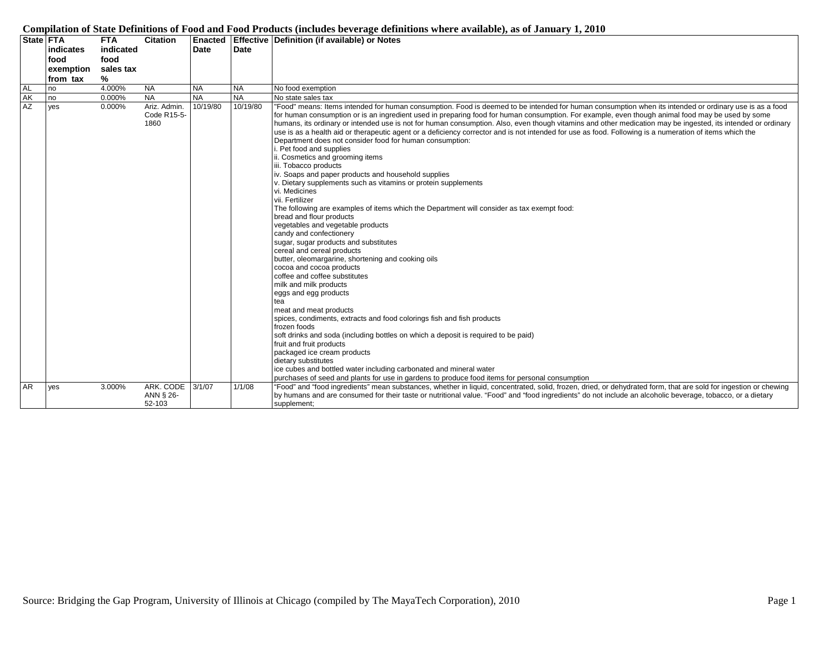|           |           |            |                 |             |             | (interaction to the state continuous traces at minimum of an omnimum                                                                                             |
|-----------|-----------|------------|-----------------|-------------|-------------|------------------------------------------------------------------------------------------------------------------------------------------------------------------|
|           | State FTA | <b>FTA</b> | <b>Citation</b> | Enacted     |             | <b>Effective Definition (if available) or Notes</b>                                                                                                              |
|           | indicates | indicated  |                 | <b>Date</b> | <b>Date</b> |                                                                                                                                                                  |
|           | food      | food       |                 |             |             |                                                                                                                                                                  |
|           | exemption | sales tax  |                 |             |             |                                                                                                                                                                  |
|           | from tax  | ℅          |                 |             |             |                                                                                                                                                                  |
| <b>AL</b> | no        | 4.000%     | <b>NA</b>       | <b>NA</b>   | <b>NA</b>   | No food exemption                                                                                                                                                |
| <b>AK</b> | no        | 0.000%     | <b>NA</b>       | <b>NA</b>   | <b>NA</b>   | No state sales tax                                                                                                                                               |
| <b>AZ</b> | yes       | 0.000%     | Ariz. Admin.    | 10/19/80    | 10/19/80    | "Food" means: Items intended for human consumption. Food is deemed to be intended for human consumption when its intended or ordinary use is as a food           |
|           |           |            | Code R15-5-     |             |             | for human consumption or is an ingredient used in preparing food for human consumption. For example, even though animal food may be used by some                 |
|           |           |            | 1860            |             |             | humans, its ordinary or intended use is not for human consumption. Also, even though vitamins and other medication may be ingested, its intended or ordinary     |
|           |           |            |                 |             |             | use is as a health aid or therapeutic agent or a deficiency corrector and is not intended for use as food. Following is a numeration of items which the          |
|           |           |            |                 |             |             | Department does not consider food for human consumption:                                                                                                         |
|           |           |            |                 |             |             | Pet food and supplies                                                                                                                                            |
|           |           |            |                 |             |             | i. Cosmetics and grooming items                                                                                                                                  |
|           |           |            |                 |             |             | iii. Tobacco products                                                                                                                                            |
|           |           |            |                 |             |             | iv. Soaps and paper products and household supplies                                                                                                              |
|           |           |            |                 |             |             | v. Dietary supplements such as vitamins or protein supplements                                                                                                   |
|           |           |            |                 |             |             | vi. Medicines                                                                                                                                                    |
|           |           |            |                 |             |             | vii. Fertilizer                                                                                                                                                  |
|           |           |            |                 |             |             | The following are examples of items which the Department will consider as tax exempt food:                                                                       |
|           |           |            |                 |             |             | bread and flour products                                                                                                                                         |
|           |           |            |                 |             |             | vegetables and vegetable products                                                                                                                                |
|           |           |            |                 |             |             | candy and confectionery                                                                                                                                          |
|           |           |            |                 |             |             | sugar, sugar products and substitutes                                                                                                                            |
|           |           |            |                 |             |             | cereal and cereal products                                                                                                                                       |
|           |           |            |                 |             |             | butter, oleomargarine, shortening and cooking oils                                                                                                               |
|           |           |            |                 |             |             | cocoa and cocoa products                                                                                                                                         |
|           |           |            |                 |             |             | coffee and coffee substitutes                                                                                                                                    |
|           |           |            |                 |             |             | milk and milk products                                                                                                                                           |
|           |           |            |                 |             |             | eggs and egg products                                                                                                                                            |
|           |           |            |                 |             |             | tea                                                                                                                                                              |
|           |           |            |                 |             |             | meat and meat products                                                                                                                                           |
|           |           |            |                 |             |             | spices, condiments, extracts and food colorings fish and fish products                                                                                           |
|           |           |            |                 |             |             | frozen foods                                                                                                                                                     |
|           |           |            |                 |             |             | soft drinks and soda (including bottles on which a deposit is required to be paid)                                                                               |
|           |           |            |                 |             |             | fruit and fruit products                                                                                                                                         |
|           |           |            |                 |             |             | packaged ice cream products                                                                                                                                      |
|           |           |            |                 |             |             | dietary substitutes                                                                                                                                              |
|           |           |            |                 |             |             | ice cubes and bottled water including carbonated and mineral water                                                                                               |
|           |           |            |                 |             |             | purchases of seed and plants for use in gardens to produce food items for personal consumption                                                                   |
| <b>AR</b> | yes       | 3.000%     | ARK. CODE       | 3/1/07      | 1/1/08      | "Food" and "food ingredients" mean substances, whether in liquid, concentrated, solid, frozen, dried, or dehydrated form, that are sold for ingestion or chewing |
|           |           |            | ANN § 26-       |             |             | by humans and are consumed for their taste or nutritional value. "Food" and "food ingredients" do not include an alcoholic beverage, tobacco, or a dietary       |
|           |           |            | 52-103          |             |             | supplement;                                                                                                                                                      |

## **Compilation of State Definitions of Food and Food Products (includes beverage definitions where available), as of January 1, 2010**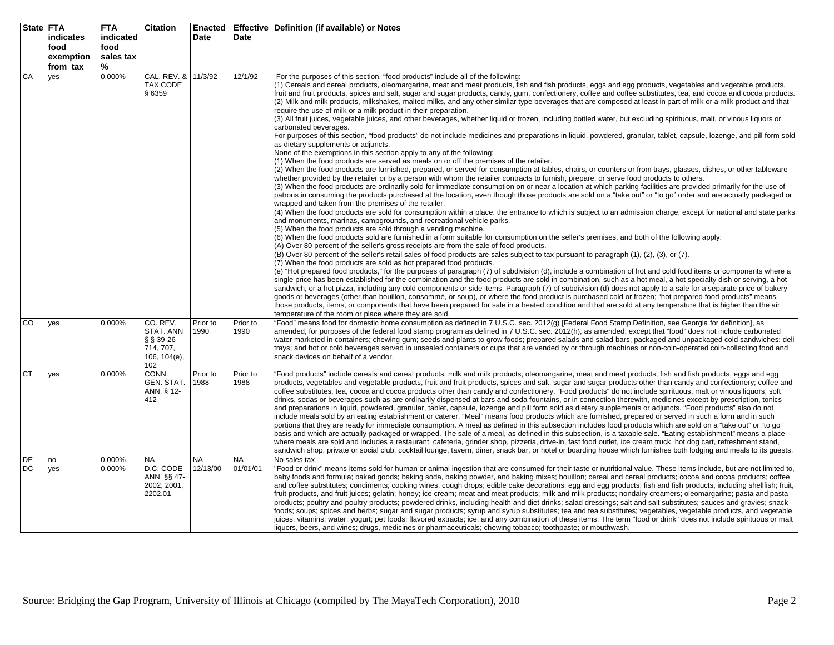| State FTA |                  | <b>FTA</b> | Citation                  | <b>Enacted</b> |           | Effective   Definition (if available) or Notes                                                                                                                                                                                                                                                                                    |
|-----------|------------------|------------|---------------------------|----------------|-----------|-----------------------------------------------------------------------------------------------------------------------------------------------------------------------------------------------------------------------------------------------------------------------------------------------------------------------------------|
|           | <b>indicates</b> | indicated  |                           | Date           | Date      |                                                                                                                                                                                                                                                                                                                                   |
|           | food             | food       |                           |                |           |                                                                                                                                                                                                                                                                                                                                   |
|           | exemption        | sales tax  |                           |                |           |                                                                                                                                                                                                                                                                                                                                   |
|           | from tax         | %          |                           |                |           |                                                                                                                                                                                                                                                                                                                                   |
| CA        | yes              | 0.000%     | CAL. REV. &               | 11/3/92        | 12/1/92   | For the purposes of this section, "food products" include all of the following:                                                                                                                                                                                                                                                   |
|           |                  |            | TAX CODE                  |                |           | (1) Cereals and cereal products, oleomargarine, meat and meat products, fish and fish products, eggs and egg products, vegetables and vegetable products,                                                                                                                                                                         |
|           |                  |            | § 6359                    |                |           | fruit and fruit products, spices and salt, sugar and sugar products, candy, gum, confectionery, coffee and coffee substitutes, tea, and cocoa and cocoa products.                                                                                                                                                                 |
|           |                  |            |                           |                |           | (2) Milk and milk products, milkshakes, malted milks, and any other similar type beverages that are composed at least in part of milk or a milk product and that                                                                                                                                                                  |
|           |                  |            |                           |                |           | require the use of milk or a milk product in their preparation.                                                                                                                                                                                                                                                                   |
|           |                  |            |                           |                |           | (3) All fruit juices, vegetable juices, and other beverages, whether liquid or frozen, including bottled water, but excluding spirituous, malt, or vinous liquors or<br>carbonated beverages.                                                                                                                                     |
|           |                  |            |                           |                |           | For purposes of this section, "food products" do not include medicines and preparations in liquid, powdered, granular, tablet, capsule, lozenge, and pill form sold                                                                                                                                                               |
|           |                  |            |                           |                |           | as dietary supplements or adjuncts.                                                                                                                                                                                                                                                                                               |
|           |                  |            |                           |                |           | None of the exemptions in this section apply to any of the following:                                                                                                                                                                                                                                                             |
|           |                  |            |                           |                |           | (1) When the food products are served as meals on or off the premises of the retailer.                                                                                                                                                                                                                                            |
|           |                  |            |                           |                |           | (2) When the food products are furnished, prepared, or served for consumption at tables, chairs, or counters or from trays, glasses, dishes, or other tableware                                                                                                                                                                   |
|           |                  |            |                           |                |           | whether provided by the retailer or by a person with whom the retailer contracts to furnish, prepare, or serve food products to others.                                                                                                                                                                                           |
|           |                  |            |                           |                |           | (3) When the food products are ordinarily sold for immediate consumption on or near a location at which parking facilities are provided primarily for the use of                                                                                                                                                                  |
|           |                  |            |                           |                |           | patrons in consuming the products purchased at the location, even though those products are sold on a "take out" or "to go" order and are actually packaged or<br>wrapped and taken from the premises of the retailer.                                                                                                            |
|           |                  |            |                           |                |           | (4) When the food products are sold for consumption within a place, the entrance to which is subject to an admission charge, except for national and state parks                                                                                                                                                                  |
|           |                  |            |                           |                |           | and monuments, marinas, campgrounds, and recreational vehicle parks.                                                                                                                                                                                                                                                              |
|           |                  |            |                           |                |           | (5) When the food products are sold through a vending machine.                                                                                                                                                                                                                                                                    |
|           |                  |            |                           |                |           | (6) When the food products sold are furnished in a form suitable for consumption on the seller's premises, and both of the following apply:                                                                                                                                                                                       |
|           |                  |            |                           |                |           | (A) Over 80 percent of the seller's gross receipts are from the sale of food products.                                                                                                                                                                                                                                            |
|           |                  |            |                           |                |           | (B) Over 80 percent of the seller's retail sales of food products are sales subject to tax pursuant to paragraph (1), (2), (3), or (7).                                                                                                                                                                                           |
|           |                  |            |                           |                |           | (7) When the food products are sold as hot prepared food products.                                                                                                                                                                                                                                                                |
|           |                  |            |                           |                |           | (e) "Hot prepared food products," for the purposes of paragraph (7) of subdivision (d), include a combination of hot and cold food items or components where a<br>single price has been established for the combination and the food products are sold in combination, such as a hot meal, a hot specialty dish or serving, a hot |
|           |                  |            |                           |                |           | sandwich, or a hot pizza, including any cold components or side items. Paragraph (7) of subdivision (d) does not apply to a sale for a separate price of bakery                                                                                                                                                                   |
|           |                  |            |                           |                |           | goods or beverages (other than bouillon, consommé, or soup), or where the food product is purchased cold or frozen; "hot prepared food products" means                                                                                                                                                                            |
|           |                  |            |                           |                |           | those products, items, or components that have been prepared for sale in a heated condition and that are sold at any temperature that is higher than the air                                                                                                                                                                      |
|           |                  |            |                           |                |           | temperature of the room or place where they are sold.                                                                                                                                                                                                                                                                             |
| CO        | yes              | 0.000%     | CO. REV.                  | Prior to       | Prior to  | 'Food" means food for domestic home consumption as defined in 7 U.S.C. sec. 2012(g) [Federal Food Stamp Definition, see Georgia for definition], as                                                                                                                                                                               |
|           |                  |            | STAT. ANN<br>$§$ § 39-26- | 1990           | 1990      | amended, for purposes of the federal food stamp program as defined in 7 U.S.C. sec. 2012(h), as amended; except that "food" does not include carbonated<br>water marketed in containers; chewing gum; seeds and plants to grow foods; prepared salads and salad bars; packaged and unpackaged cold sandwiches; deli               |
|           |                  |            | 714, 707,                 |                |           | trays; and hot or cold beverages served in unsealed containers or cups that are vended by or through machines or non-coin-operated coin-collecting food and                                                                                                                                                                       |
|           |                  |            | $106, 104(e)$ ,           |                |           | snack devices on behalf of a vendor.                                                                                                                                                                                                                                                                                              |
|           |                  |            | 102                       |                |           |                                                                                                                                                                                                                                                                                                                                   |
| <b>CT</b> | yes              | 0.000%     | CONN.                     | Prior to       | Prior to  | 'Food products" include cereals and cereal products, milk and milk products, oleomargarine, meat and meat products, fish and fish products, eggs and egg                                                                                                                                                                          |
|           |                  |            | GEN. STAT.                | 1988           | 1988      | products, vegetables and vegetable products, fruit and fruit products, spices and salt, sugar and sugar products other than candy and confectionery; coffee and                                                                                                                                                                   |
|           |                  |            | ANN. § 12-                |                |           | coffee substitutes, tea, cocoa and cocoa products other than candy and confectionery. "Food products" do not include spirituous, malt or vinous liquors, soft                                                                                                                                                                     |
|           |                  |            | 412                       |                |           | drinks, sodas or beverages such as are ordinarily dispensed at bars and soda fountains, or in connection therewith, medicines except by prescription, tonics<br>and preparations in liquid, powdered, granular, tablet, capsule, lozenge and pill form sold as dietary supplements or adjuncts. "Food products" also do not       |
|           |                  |            |                           |                |           | include meals sold by an eating establishment or caterer. "Meal" means food products which are furnished, prepared or served in such a form and in such                                                                                                                                                                           |
|           |                  |            |                           |                |           | portions that they are ready for immediate consumption. A meal as defined in this subsection includes food products which are sold on a "take out" or "to go"                                                                                                                                                                     |
|           |                  |            |                           |                |           | basis and which are actually packaged or wrapped. The sale of a meal, as defined in this subsection, is a taxable sale. "Eating establishment" means a place                                                                                                                                                                      |
|           |                  |            |                           |                |           | where meals are sold and includes a restaurant, cafeteria, grinder shop, pizzeria, drive-in, fast food outlet, ice cream truck, hot dog cart, refreshment stand,                                                                                                                                                                  |
|           |                  |            |                           |                |           | sandwich shop, private or social club, cocktail lounge, tavern, diner, snack bar, or hotel or boarding house which furnishes both lodging and meals to its guests.                                                                                                                                                                |
| DE        | no               | 0.000%     | <b>NA</b>                 | NA             | <b>NA</b> | No sales tax                                                                                                                                                                                                                                                                                                                      |
| DC        | yes              | 0.000%     | D.C. CODE<br>ANN. §§ 47-  | 12/13/00       | 01/01/01  | 'Food or drink" means items sold for human or animal ingestion that are consumed for their taste or nutritional value. These items include, but are not limited to,<br>baby foods and formula; baked goods; baking soda, baking powder, and baking mixes; bouillon; cereal and cereal products; cocoa and cocoa products; coffee  |
|           |                  |            | 2002, 2001,               |                |           | and coffee substitutes; condiments; cooking wines; cough drops; edible cake decorations; egg and egg products; fish and fish products, including shellfish; fruit,                                                                                                                                                                |
|           |                  |            | 2202.01                   |                |           | fruit products, and fruit juices; gelatin; honey; ice cream; meat and meat products; milk and milk products; nondairy creamers; oleomargarine; pasta and pasta                                                                                                                                                                    |
|           |                  |            |                           |                |           | products; poultry and poultry products; powdered drinks, including health and diet drinks; salad dressings; salt and salt substitutes; sauces and gravies; snack                                                                                                                                                                  |
|           |                  |            |                           |                |           | foods; soups; spices and herbs; sugar and sugar products; syrup and syrup substitutes; tea and tea substitutes; vegetables, vegetable products, and vegetable                                                                                                                                                                     |
|           |                  |            |                           |                |           | juices; vitamins; water; yogurt; pet foods; flavored extracts; ice; and any combination of these items. The term "food or drink" does not include spirituous or malt                                                                                                                                                              |
|           |                  |            |                           |                |           | liquors, beers, and wines; drugs, medicines or pharmaceuticals; chewing tobacco; toothpaste; or mouthwash.                                                                                                                                                                                                                        |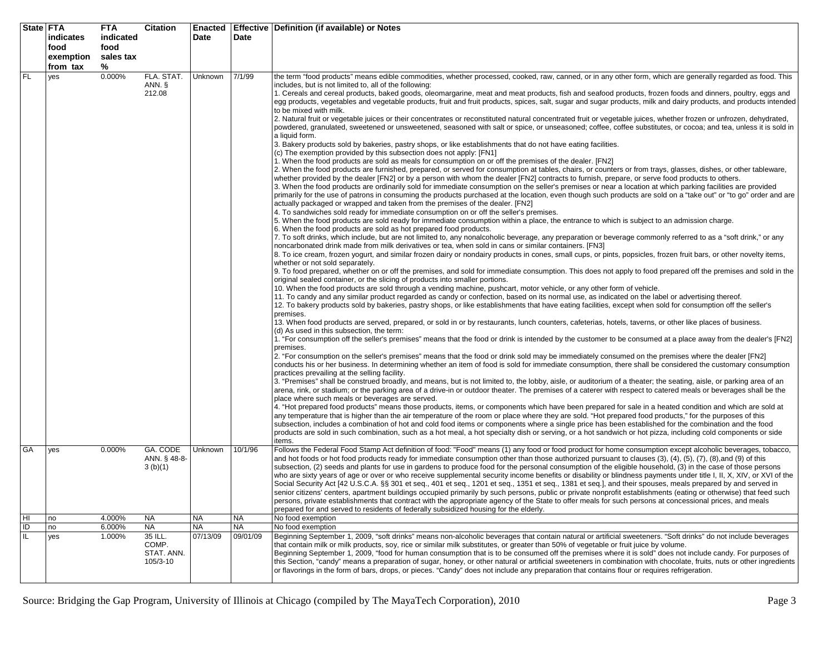|           | State FTA<br>indicates<br>food<br>exemption | <b>FTA</b><br>indicated<br>food<br>sales tax | Citation                            | Enacted<br>Date       | Date                  | <b>Effective Definition (if available) or Notes</b>                                                                                                                                                                                                                                                                                                                                                                                                                                                                                                                                                                                                                                                                                                                                                                                                                                                                                                                                                                                                                                                                                                                                                                                                                                                                                                                                                                                                                                                                                                                                                                                                                                                                                                                                                                                                                                                                                                                                                                                                                                                                                                                                                                                                                                                                                                                                                                                                                                                                                                                                                                                                                                                                                                                                                                                                                                                                                                                                                                                                                                                                                                                                                                                                                                                                                                                                                                                                                                                                                                                                                                                                                                                                                                                                                                                                                                                                                                                                                                                                                                                                                                                                                                                                                                                                                                                                                                                                                                                                                                                                                                                                                                                                                                                                                                                                                                                                                                                                                                                                                                                                                                                                                                                                                                                                           |
|-----------|---------------------------------------------|----------------------------------------------|-------------------------------------|-----------------------|-----------------------|-------------------------------------------------------------------------------------------------------------------------------------------------------------------------------------------------------------------------------------------------------------------------------------------------------------------------------------------------------------------------------------------------------------------------------------------------------------------------------------------------------------------------------------------------------------------------------------------------------------------------------------------------------------------------------------------------------------------------------------------------------------------------------------------------------------------------------------------------------------------------------------------------------------------------------------------------------------------------------------------------------------------------------------------------------------------------------------------------------------------------------------------------------------------------------------------------------------------------------------------------------------------------------------------------------------------------------------------------------------------------------------------------------------------------------------------------------------------------------------------------------------------------------------------------------------------------------------------------------------------------------------------------------------------------------------------------------------------------------------------------------------------------------------------------------------------------------------------------------------------------------------------------------------------------------------------------------------------------------------------------------------------------------------------------------------------------------------------------------------------------------------------------------------------------------------------------------------------------------------------------------------------------------------------------------------------------------------------------------------------------------------------------------------------------------------------------------------------------------------------------------------------------------------------------------------------------------------------------------------------------------------------------------------------------------------------------------------------------------------------------------------------------------------------------------------------------------------------------------------------------------------------------------------------------------------------------------------------------------------------------------------------------------------------------------------------------------------------------------------------------------------------------------------------------------------------------------------------------------------------------------------------------------------------------------------------------------------------------------------------------------------------------------------------------------------------------------------------------------------------------------------------------------------------------------------------------------------------------------------------------------------------------------------------------------------------------------------------------------------------------------------------------------------------------------------------------------------------------------------------------------------------------------------------------------------------------------------------------------------------------------------------------------------------------------------------------------------------------------------------------------------------------------------------------------------------------------------------------------------------------------------------------------------------------------------------------------------------------------------------------------------------------------------------------------------------------------------------------------------------------------------------------------------------------------------------------------------------------------------------------------------------------------------------------------------------------------------------------------------------------------------------------------------------------------------------------------------------------------------------------------------------------------------------------------------------------------------------------------------------------------------------------------------------------------------------------------------------------------------------------------------------------------------------------------------------------------------------------------------------------------------------------------------------------------------------------------|
|           | from tax                                    | %                                            |                                     |                       |                       |                                                                                                                                                                                                                                                                                                                                                                                                                                                                                                                                                                                                                                                                                                                                                                                                                                                                                                                                                                                                                                                                                                                                                                                                                                                                                                                                                                                                                                                                                                                                                                                                                                                                                                                                                                                                                                                                                                                                                                                                                                                                                                                                                                                                                                                                                                                                                                                                                                                                                                                                                                                                                                                                                                                                                                                                                                                                                                                                                                                                                                                                                                                                                                                                                                                                                                                                                                                                                                                                                                                                                                                                                                                                                                                                                                                                                                                                                                                                                                                                                                                                                                                                                                                                                                                                                                                                                                                                                                                                                                                                                                                                                                                                                                                                                                                                                                                                                                                                                                                                                                                                                                                                                                                                                                                                                                                               |
| FL        | yes                                         | 0.000%                                       | FLA. STAT.<br>ANN. §<br>212.08      | Unknown               | 7/1/99                | the term "food products" means edible commodities, whether processed, cooked, raw, canned, or in any other form, which are generally regarded as food. This<br>includes, but is not limited to, all of the following:<br>1. Cereals and cereal products, baked goods, oleomargarine, meat and meat products, fish and seafood products, frozen foods and dinners, poultry, eggs and<br>egg products, vegetables and vegetable products, fruit and fruit products, spices, salt, sugar and sugar products, milk and dairy products, and products intended<br>to be mixed with milk.<br>2. Natural fruit or vegetable juices or their concentrates or reconstituted natural concentrated fruit or vegetable juices, whether frozen or unfrozen, dehydrated,<br>powdered, granulated, sweetened or unsweetened, seasoned with salt or spice, or unseasoned; coffee, coffee substitutes, or cocoa; and tea, unless it is sold in<br>a liquid form.<br>3. Bakery products sold by bakeries, pastry shops, or like establishments that do not have eating facilities.<br>(c) The exemption provided by this subsection does not apply: [FN1]<br>1. When the food products are sold as meals for consumption on or off the premises of the dealer. [FN2]<br>2. When the food products are furnished, prepared, or served for consumption at tables, chairs, or counters or from trays, glasses, dishes, or other tableware,<br>whether provided by the dealer [FN2] or by a person with whom the dealer [FN2] contracts to furnish, prepare, or serve food products to others.<br>3. When the food products are ordinarily sold for immediate consumption on the seller's premises or near a location at which parking facilities are provided<br>primarily for the use of patrons in consuming the products purchased at the location, even though such products are sold on a "take out" or "to go" order and are<br>actually packaged or wrapped and taken from the premises of the dealer. [FN2]<br>4. To sandwiches sold ready for immediate consumption on or off the seller's premises.<br>5. When the food products are sold ready for immediate consumption within a place, the entrance to which is subject to an admission charge.<br>6. When the food products are sold as hot prepared food products.<br>7. To soft drinks, which include, but are not limited to, any nonalcoholic beverage, any preparation or beverage commonly referred to as a "soft drink," or any<br>noncarbonated drink made from milk derivatives or tea, when sold in cans or similar containers. [FN3]<br>8. To ice cream, frozen yogurt, and similar frozen dairy or nondairy products in cones, small cups, or pints, popsicles, frozen fruit bars, or other novelty items,<br>whether or not sold separately.<br>9. To food prepared, whether on or off the premises, and sold for immediate consumption. This does not apply to food prepared off the premises and sold in the<br>original sealed container, or the slicing of products into smaller portions.<br>10. When the food products are sold through a vending machine, pushcart, motor vehicle, or any other form of vehicle.<br>11. To candy and any similar product regarded as candy or confection, based on its normal use, as indicated on the label or advertising thereof.<br>12. To bakery products sold by bakeries, pastry shops, or like establishments that have eating facilities, except when sold for consumption off the seller's<br>premises.<br>13. When food products are served, prepared, or sold in or by restaurants, lunch counters, cafeterias, hotels, taverns, or other like places of business.<br>(d) As used in this subsection, the term:<br>1. "For consumption off the seller's premises" means that the food or drink is intended by the customer to be consumed at a place away from the dealer's [FN2]<br>premises.<br>2. "For consumption on the seller's premises" means that the food or drink sold may be immediately consumed on the premises where the dealer [FN2]<br>conducts his or her business. In determining whether an item of food is sold for immediate consumption, there shall be considered the customary consumption<br>practices prevailing at the selling facility.<br>3. "Premises" shall be construed broadly, and means, but is not limited to, the lobby, aisle, or auditorium of a theater; the seating, aisle, or parking area of an<br>arena, rink, or stadium; or the parking area of a drive-in or outdoor theater. The premises of a caterer with respect to catered meals or beverages shall be the<br>place where such meals or beverages are served.<br>4. "Hot prepared food products" means those products, items, or components which have been prepared for sale in a heated condition and which are sold at<br>any temperature that is higher than the air temperature of the room or place where they are sold. "Hot prepared food products," for the purposes of this<br>subsection, includes a combination of hot and cold food items or components where a single price has been established for the combination and the food<br>products are sold in such combination, such as a hot meal, a hot specialty dish or serving, or a hot sandwich or hot pizza, including cold components or side |
| GA        | yes                                         | 0.000%                                       | GA. CODE<br>ANN. § 48-8-<br>3(b)(1) | Unknown               | 10/1/96               | items.<br>Follows the Federal Food Stamp Act definition of food: "Food" means (1) any food or food product for home consumption except alcoholic beverages, tobacco,<br>and hot foods or hot food products ready for immediate consumption other than those authorized pursuant to clauses $(3)$ , $(4)$ , $(5)$ , $(7)$ , $(8)$ , and $(9)$ of this<br>subsection, (2) seeds and plants for use in gardens to produce food for the personal consumption of the eligible household, (3) in the case of those persons<br>who are sixty years of age or over or who receive supplemental security income benefits or disability or blindness payments under title I, II, X, XIV, or XVI of the<br>Social Security Act [42 U.S.C.A. §§ 301 et seg., 401 et seg., 1201 et seg., 1351 et seg., 1381 et seg.], and their spouses, meals prepared by and served in<br>senior citizens' centers, apartment buildings occupied primarily by such persons, public or private nonprofit establishments (eating or otherwise) that feed such<br>persons, private establishments that contract with the appropriate agency of the State to offer meals for such persons at concessional prices, and meals<br>prepared for and served to residents of federally subsidized housing for the elderly.                                                                                                                                                                                                                                                                                                                                                                                                                                                                                                                                                                                                                                                                                                                                                                                                                                                                                                                                                                                                                                                                                                                                                                                                                                                                                                                                                                                                                                                                                                                                                                                                                                                                                                                                                                                                                                                                                                                                                                                                                                                                                                                                                                                                                                                                                                                                                                                                                                                                                                                                                                                                                                                                                                                                                                                                                                                                                                                                                                                                                                                                                                                                                                                                                                                                                                                                                                                                                                                                                                                                                                                                                                                                                                                                                                                                                                                                                                                                                                                                                                         |
| HI        | no                                          | 4.000%                                       | <b>NA</b>                           | <b>NA</b>             | <b>NA</b>             | No food exemption                                                                                                                                                                                                                                                                                                                                                                                                                                                                                                                                                                                                                                                                                                                                                                                                                                                                                                                                                                                                                                                                                                                                                                                                                                                                                                                                                                                                                                                                                                                                                                                                                                                                                                                                                                                                                                                                                                                                                                                                                                                                                                                                                                                                                                                                                                                                                                                                                                                                                                                                                                                                                                                                                                                                                                                                                                                                                                                                                                                                                                                                                                                                                                                                                                                                                                                                                                                                                                                                                                                                                                                                                                                                                                                                                                                                                                                                                                                                                                                                                                                                                                                                                                                                                                                                                                                                                                                                                                                                                                                                                                                                                                                                                                                                                                                                                                                                                                                                                                                                                                                                                                                                                                                                                                                                                                             |
| ID<br>IL. | no<br>yes                                   | 6.000%<br>1.000%                             | <b>NA</b><br>35 ILL.                | <b>NA</b><br>07/13/09 | <b>NA</b><br>09/01/09 | No food exemption<br>Beginning September 1, 2009, "soft drinks" means non-alcoholic beverages that contain natural or artificial sweeteners. "Soft drinks" do not include beverages                                                                                                                                                                                                                                                                                                                                                                                                                                                                                                                                                                                                                                                                                                                                                                                                                                                                                                                                                                                                                                                                                                                                                                                                                                                                                                                                                                                                                                                                                                                                                                                                                                                                                                                                                                                                                                                                                                                                                                                                                                                                                                                                                                                                                                                                                                                                                                                                                                                                                                                                                                                                                                                                                                                                                                                                                                                                                                                                                                                                                                                                                                                                                                                                                                                                                                                                                                                                                                                                                                                                                                                                                                                                                                                                                                                                                                                                                                                                                                                                                                                                                                                                                                                                                                                                                                                                                                                                                                                                                                                                                                                                                                                                                                                                                                                                                                                                                                                                                                                                                                                                                                                                           |
|           |                                             |                                              | COMP.<br>STAT. ANN.<br>105/3-10     |                       |                       | that contain milk or milk products, soy, rice or similar milk substitutes, or greater than 50% of vegetable or fruit juice by volume.<br>Beginning September 1, 2009, "food for human consumption that is to be consumed off the premises where it is sold" does not include candy. For purposes of<br>this Section, "candy" means a preparation of sugar, honey, or other natural or artificial sweeteners in combination with chocolate, fruits, nuts or other ingredients<br>or flavorings in the form of bars, drops, or pieces. "Candy" does not include any preparation that contains flour or requires refrigeration.                                                                                                                                                                                                                                                                                                                                                                                                                                                                                                                                                                                                                                                                                                                                                                                                                                                                                                                                                                                                                                                                                                                                                                                                                                                                                                                                                                                                                                                                                                                                                                                                                                                                                                                                                                                                                                                                                                                                                                                                                                                                                                                                                                                                                                                                                                                                                                                                                                                                                                                                                                                                                                                                                                                                                                                                                                                                                                                                                                                                                                                                                                                                                                                                                                                                                                                                                                                                                                                                                                                                                                                                                                                                                                                                                                                                                                                                                                                                                                                                                                                                                                                                                                                                                                                                                                                                                                                                                                                                                                                                                                                                                                                                                                  |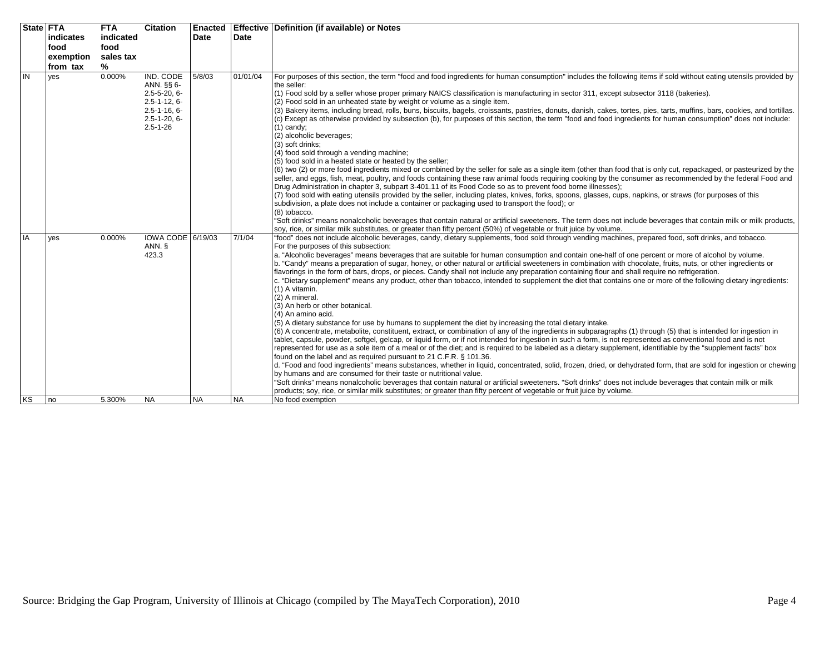|                | <b>State FTA</b> |            | <b>FTA</b> | <b>Citation</b>                                                                                                                    |           |           | Enacted   Effective   Definition (if available) or Notes                                                                                                                                                                                                                                                                                                                                                                                                                                                                                                                                                                                                                                                                                                                                                                                                                                                                                                                                                                                                                                                                                                                                                                                                                                                                                                                                                                                                                                                                                                                                                                                                                                                                                                                                                                                                                                                                                                                                                                                                                                                                                                            |
|----------------|------------------|------------|------------|------------------------------------------------------------------------------------------------------------------------------------|-----------|-----------|---------------------------------------------------------------------------------------------------------------------------------------------------------------------------------------------------------------------------------------------------------------------------------------------------------------------------------------------------------------------------------------------------------------------------------------------------------------------------------------------------------------------------------------------------------------------------------------------------------------------------------------------------------------------------------------------------------------------------------------------------------------------------------------------------------------------------------------------------------------------------------------------------------------------------------------------------------------------------------------------------------------------------------------------------------------------------------------------------------------------------------------------------------------------------------------------------------------------------------------------------------------------------------------------------------------------------------------------------------------------------------------------------------------------------------------------------------------------------------------------------------------------------------------------------------------------------------------------------------------------------------------------------------------------------------------------------------------------------------------------------------------------------------------------------------------------------------------------------------------------------------------------------------------------------------------------------------------------------------------------------------------------------------------------------------------------------------------------------------------------------------------------------------------------|
|                |                  | lindicates | indicated  |                                                                                                                                    | Date      | Date      |                                                                                                                                                                                                                                                                                                                                                                                                                                                                                                                                                                                                                                                                                                                                                                                                                                                                                                                                                                                                                                                                                                                                                                                                                                                                                                                                                                                                                                                                                                                                                                                                                                                                                                                                                                                                                                                                                                                                                                                                                                                                                                                                                                     |
|                |                  | food       | food       |                                                                                                                                    |           |           |                                                                                                                                                                                                                                                                                                                                                                                                                                                                                                                                                                                                                                                                                                                                                                                                                                                                                                                                                                                                                                                                                                                                                                                                                                                                                                                                                                                                                                                                                                                                                                                                                                                                                                                                                                                                                                                                                                                                                                                                                                                                                                                                                                     |
|                |                  | exemption  | sales tax  |                                                                                                                                    |           |           |                                                                                                                                                                                                                                                                                                                                                                                                                                                                                                                                                                                                                                                                                                                                                                                                                                                                                                                                                                                                                                                                                                                                                                                                                                                                                                                                                                                                                                                                                                                                                                                                                                                                                                                                                                                                                                                                                                                                                                                                                                                                                                                                                                     |
|                |                  | from tax   | %          |                                                                                                                                    |           |           |                                                                                                                                                                                                                                                                                                                                                                                                                                                                                                                                                                                                                                                                                                                                                                                                                                                                                                                                                                                                                                                                                                                                                                                                                                                                                                                                                                                                                                                                                                                                                                                                                                                                                                                                                                                                                                                                                                                                                                                                                                                                                                                                                                     |
| $\overline{N}$ |                  | yes        | 0.000%     | IND. CODE<br>ANN. §§ 6-<br>$2.5 - 5 - 20, 6 -$<br>$2.5 - 1 - 12, 6 -$<br>$2.5 - 1 - 16.6$<br>$2.5 - 1 - 20, 6 -$<br>$2.5 - 1 - 26$ | 5/8/03    | 01/01/04  | For purposes of this section, the term "food and food ingredients for human consumption" includes the following items if sold without eating utensils provided by<br>the seller:<br>(1) Food sold by a seller whose proper primary NAICS classification is manufacturing in sector 311, except subsector 3118 (bakeries).<br>(2) Food sold in an unheated state by weight or volume as a single item.<br>(3) Bakery items, including bread, rolls, buns, biscuits, bagels, croissants, pastries, donuts, danish, cakes, tortes, pies, tarts, muffins, bars, cookies, and tortillas.<br>(c) Except as otherwise provided by subsection (b), for purposes of this section, the term "food and food ingredients for human consumption" does not include:<br>$(1)$ candy:<br>(2) alcoholic beverages;<br>(3) soft drinks;<br>(4) food sold through a vending machine;<br>(5) food sold in a heated state or heated by the seller;<br>(6) two (2) or more food ingredients mixed or combined by the seller for sale as a single item (other than food that is only cut, repackaged, or pasteurized by the<br>seller, and eggs, fish, meat, poultry, and foods containing these raw animal foods requiring cooking by the consumer as recommended by the federal Food and<br>Drug Administration in chapter 3, subpart 3-401.11 of its Food Code so as to prevent food borne illnesses);<br>(7) food sold with eating utensils provided by the seller, including plates, knives, forks, spoons, glasses, cups, napkins, or straws (for purposes of this<br>subdivision, a plate does not include a container or packaging used to transport the food); or<br>(8) tobacco.<br>"Soft drinks" means nonalcoholic beverages that contain natural or artificial sweeteners. The term does not include beverages that contain milk or milk products,<br>soy, rice, or similar milk substitutes, or greater than fifty percent (50%) of vegetable or fruit juice by volume.                                                                                                                                                                                                      |
| <b>IA</b>      |                  | yes        | 0.000%     | IOWA CODE 6/19/03<br>ANN. §<br>423.3                                                                                               |           | 7/1/04    | "food" does not include alcoholic beverages, candy, dietary supplements, food sold through vending machines, prepared food, soft drinks, and tobacco.<br>For the purposes of this subsection:<br>a. "Alcoholic beverages" means beverages that are suitable for human consumption and contain one-half of one percent or more of alcohol by volume.<br>b. "Candy" means a preparation of sugar, honey, or other natural or artificial sweeteners in combination with chocolate, fruits, nuts, or other ingredients or<br>flavorings in the form of bars, drops, or pieces. Candy shall not include any preparation containing flour and shall require no refrigeration.<br>c. "Dietary supplement" means any product, other than tobacco, intended to supplement the diet that contains one or more of the following dietary ingredients:<br>(1) A vitamin.<br>(2) A mineral.<br>(3) An herb or other botanical.<br>(4) An amino acid.<br>(5) A dietary substance for use by humans to supplement the diet by increasing the total dietary intake.<br>(6) A concentrate, metabolite, constituent, extract, or combination of any of the ingredients in subparagraphs (1) through (5) that is intended for ingestion in<br>tablet, capsule, powder, softgel, gelcap, or liquid form, or if not intended for ingestion in such a form, is not represented as conventional food and is not<br>represented for use as a sole item of a meal or of the diet; and is required to be labeled as a dietary supplement, identifiable by the "supplement facts" box<br>found on the label and as required pursuant to 21 C.F.R. § 101.36.<br>d. "Food and food ingredients" means substances, whether in liquid, concentrated, solid, frozen, dried, or dehydrated form, that are sold for ingestion or chewing<br>by humans and are consumed for their taste or nutritional value.<br>"Soft drinks" means nonalcoholic beverages that contain natural or artificial sweeteners. "Soft drinks" does not include beverages that contain milk or milk<br>products; soy, rice, or similar milk substitutes; or greater than fifty percent of vegetable or fruit juice by volume. |
|                | KS               | I no       | 5.300%     | <b>NA</b>                                                                                                                          | <b>NA</b> | <b>NA</b> | No food exemption                                                                                                                                                                                                                                                                                                                                                                                                                                                                                                                                                                                                                                                                                                                                                                                                                                                                                                                                                                                                                                                                                                                                                                                                                                                                                                                                                                                                                                                                                                                                                                                                                                                                                                                                                                                                                                                                                                                                                                                                                                                                                                                                                   |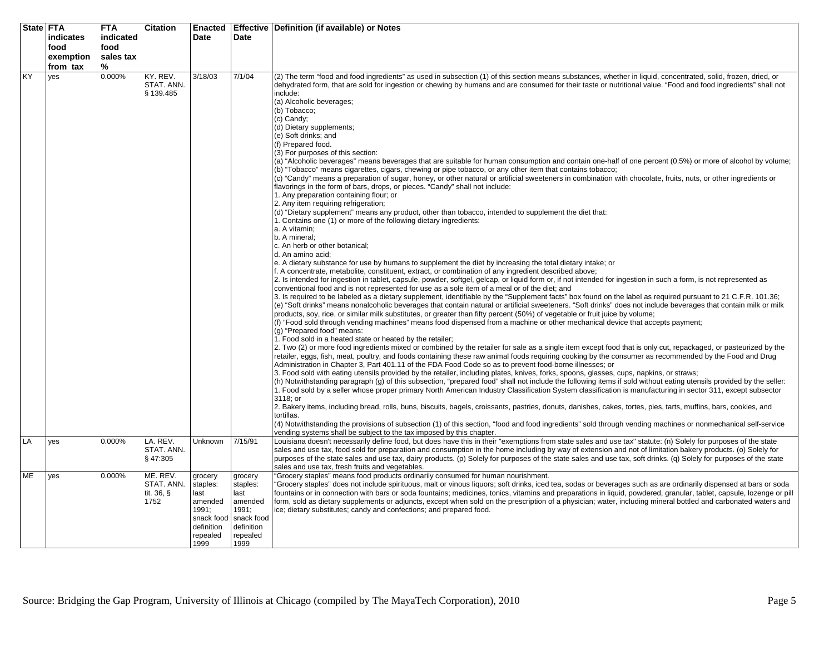|    | State FTA<br>indicates | <b>FTA</b><br>indicated | <b>Citation</b>                              | Enacted<br>Date                                                                                 | Date                                                                                            | Effective   Definition (if available) or Notes                                                                                                                                                                                                                                                                                                                                                                                                                                                                                                                                                                                                                                                                                                                                                                                                                                                                                                                                                                                                                                                                                                                                                                                                                                                                                                                                                                                                                                                                                                                                                                                                                                                                                                                                                                                                                                                                                                                                                                                                                                                                                                                                                                                                                                                                                                                                                                                                                                                                                                                                                                                                                                                                                                                                                                                                                                                                                                                                                                                                                                                                                                                                                                                                                                                                                                                                                                                                                                                                                                                                                                                                                                                                                                                                                                                                                                                     |
|----|------------------------|-------------------------|----------------------------------------------|-------------------------------------------------------------------------------------------------|-------------------------------------------------------------------------------------------------|----------------------------------------------------------------------------------------------------------------------------------------------------------------------------------------------------------------------------------------------------------------------------------------------------------------------------------------------------------------------------------------------------------------------------------------------------------------------------------------------------------------------------------------------------------------------------------------------------------------------------------------------------------------------------------------------------------------------------------------------------------------------------------------------------------------------------------------------------------------------------------------------------------------------------------------------------------------------------------------------------------------------------------------------------------------------------------------------------------------------------------------------------------------------------------------------------------------------------------------------------------------------------------------------------------------------------------------------------------------------------------------------------------------------------------------------------------------------------------------------------------------------------------------------------------------------------------------------------------------------------------------------------------------------------------------------------------------------------------------------------------------------------------------------------------------------------------------------------------------------------------------------------------------------------------------------------------------------------------------------------------------------------------------------------------------------------------------------------------------------------------------------------------------------------------------------------------------------------------------------------------------------------------------------------------------------------------------------------------------------------------------------------------------------------------------------------------------------------------------------------------------------------------------------------------------------------------------------------------------------------------------------------------------------------------------------------------------------------------------------------------------------------------------------------------------------------------------------------------------------------------------------------------------------------------------------------------------------------------------------------------------------------------------------------------------------------------------------------------------------------------------------------------------------------------------------------------------------------------------------------------------------------------------------------------------------------------------------------------------------------------------------------------------------------------------------------------------------------------------------------------------------------------------------------------------------------------------------------------------------------------------------------------------------------------------------------------------------------------------------------------------------------------------------------------------------------------------------------------------------------------------------------|
|    | food                   | food                    |                                              |                                                                                                 |                                                                                                 |                                                                                                                                                                                                                                                                                                                                                                                                                                                                                                                                                                                                                                                                                                                                                                                                                                                                                                                                                                                                                                                                                                                                                                                                                                                                                                                                                                                                                                                                                                                                                                                                                                                                                                                                                                                                                                                                                                                                                                                                                                                                                                                                                                                                                                                                                                                                                                                                                                                                                                                                                                                                                                                                                                                                                                                                                                                                                                                                                                                                                                                                                                                                                                                                                                                                                                                                                                                                                                                                                                                                                                                                                                                                                                                                                                                                                                                                                                    |
|    | exemption<br>from tax  | sales tax<br>%          |                                              |                                                                                                 |                                                                                                 |                                                                                                                                                                                                                                                                                                                                                                                                                                                                                                                                                                                                                                                                                                                                                                                                                                                                                                                                                                                                                                                                                                                                                                                                                                                                                                                                                                                                                                                                                                                                                                                                                                                                                                                                                                                                                                                                                                                                                                                                                                                                                                                                                                                                                                                                                                                                                                                                                                                                                                                                                                                                                                                                                                                                                                                                                                                                                                                                                                                                                                                                                                                                                                                                                                                                                                                                                                                                                                                                                                                                                                                                                                                                                                                                                                                                                                                                                                    |
| KY | yes                    | 0.000%                  | KY. REV.<br>STAT. ANN.<br>§ 139.485          | 3/18/03                                                                                         | 7/1/04                                                                                          | (2) The term "food and food ingredients" as used in subsection (1) of this section means substances, whether in liquid, concentrated, solid, frozen, dried, or<br>dehydrated form, that are sold for ingestion or chewing by humans and are consumed for their taste or nutritional value. "Food and food ingredients" shall not<br>include:<br>(a) Alcoholic beverages;<br>(b) Tobacco;<br>(c) Candy;<br>(d) Dietary supplements;<br>(e) Soft drinks; and<br>(f) Prepared food.<br>(3) For purposes of this section:<br>(a) "Alcoholic beverages" means beverages that are suitable for human consumption and contain one-half of one percent (0.5%) or more of alcohol by volume;<br>(b) "Tobacco" means cigarettes, cigars, chewing or pipe tobacco, or any other item that contains tobacco;<br>(c) "Candy" means a preparation of sugar, honey, or other natural or artificial sweeteners in combination with chocolate, fruits, nuts, or other ingredients or<br>flavorings in the form of bars, drops, or pieces. "Candy" shall not include:<br>1. Any preparation containing flour; or<br>2. Any item requiring refrigeration;<br>(d) "Dietary supplement" means any product, other than tobacco, intended to supplement the diet that:<br>1. Contains one (1) or more of the following dietary ingredients:<br>a. A vitamin;<br>b. A mineral;<br>c. An herb or other botanical;<br>d. An amino acid:<br>e. A dietary substance for use by humans to supplement the diet by increasing the total dietary intake; or<br>f. A concentrate, metabolite, constituent, extract, or combination of any ingredient described above;<br>2. Is intended for ingestion in tablet, capsule, powder, softgel, gelcap, or liquid form or, if not intended for ingestion in such a form, is not represented as<br>conventional food and is not represented for use as a sole item of a meal or of the diet; and<br>3. Is required to be labeled as a dietary supplement, identifiable by the "Supplement facts" box found on the label as required pursuant to 21 C.F.R. 101.36;<br>(e) "Soft drinks" means nonalcoholic beverages that contain natural or artificial sweeteners. "Soft drinks" does not include beverages that contain milk or milk<br>products, soy, rice, or similar milk substitutes, or greater than fifty percent (50%) of vegetable or fruit juice by volume;<br>(f) "Food sold through vending machines" means food dispensed from a machine or other mechanical device that accepts payment;<br>(g) "Prepared food" means:<br>1. Food sold in a heated state or heated by the retailer;<br>2. Two (2) or more food ingredients mixed or combined by the retailer for sale as a single item except food that is only cut, repackaged, or pasteurized by the<br>retailer, eggs, fish, meat, poultry, and foods containing these raw animal foods requiring cooking by the consumer as recommended by the Food and Drug<br>Administration in Chapter 3, Part 401.11 of the FDA Food Code so as to prevent food-borne illnesses; or<br>3. Food sold with eating utensils provided by the retailer, including plates, knives, forks, spoons, glasses, cups, napkins, or straws;<br>(h) Notwithstanding paragraph (g) of this subsection, "prepared food" shall not include the following items if sold without eating utensils provided by the seller:<br>1. Food sold by a seller whose proper primary North American Industry Classification System classification is manufacturing in sector 311, except subsector<br>3118: or<br>2. Bakery items, including bread, rolls, buns, biscuits, bagels, croissants, pastries, donuts, danishes, cakes, tortes, pies, tarts, muffins, bars, cookies, and<br>tortillas.<br>(4) Notwithstanding the provisions of subsection (1) of this section, "food and food ingredients" sold through vending machines or nonmechanical self-service |
| LA | yes                    | 0.000%                  | LA. REV.                                     | <b>Unknown</b>                                                                                  | 7/15/91                                                                                         | vending systems shall be subject to the tax imposed by this chapter.<br>Louisiana doesn't necessarily define food, but does have this in their "exemptions from state sales and use tax" statute: (n) Solely for purposes of the state                                                                                                                                                                                                                                                                                                                                                                                                                                                                                                                                                                                                                                                                                                                                                                                                                                                                                                                                                                                                                                                                                                                                                                                                                                                                                                                                                                                                                                                                                                                                                                                                                                                                                                                                                                                                                                                                                                                                                                                                                                                                                                                                                                                                                                                                                                                                                                                                                                                                                                                                                                                                                                                                                                                                                                                                                                                                                                                                                                                                                                                                                                                                                                                                                                                                                                                                                                                                                                                                                                                                                                                                                                                             |
|    |                        |                         | STAT. ANN.<br>§47:305                        |                                                                                                 |                                                                                                 | sales and use tax, food sold for preparation and consumption in the home including by way of extension and not of limitation bakery products. (o) Solely for<br>purposes of the state sales and use tax, dairy products. (p) Solely for purposes of the state sales and use tax, soft drinks. (q) Solely for purposes of the state<br>sales and use tax, fresh fruits and vegetables.                                                                                                                                                                                                                                                                                                                                                                                                                                                                                                                                                                                                                                                                                                                                                                                                                                                                                                                                                                                                                                                                                                                                                                                                                                                                                                                                                                                                                                                                                                                                                                                                                                                                                                                                                                                                                                                                                                                                                                                                                                                                                                                                                                                                                                                                                                                                                                                                                                                                                                                                                                                                                                                                                                                                                                                                                                                                                                                                                                                                                                                                                                                                                                                                                                                                                                                                                                                                                                                                                                              |
| ME | yes                    | 0.000%                  | ME. REV.<br>STAT. ANN.<br>tit. 36, §<br>1752 | grocery<br>staples:<br>last<br>amended<br>1991;<br>snack food<br>definition<br>repealed<br>1999 | grocery<br>staples:<br>last<br>amended<br>1991;<br>snack food<br>definition<br>repealed<br>1999 | "Grocery staples" means food products ordinarily consumed for human nourishment.<br>"Grocery staples" does not include spirituous, malt or vinous liquors; soft drinks, iced tea, sodas or beverages such as are ordinarily dispensed at bars or soda<br>fountains or in connection with bars or soda fountains; medicines, tonics, vitamins and preparations in liquid, powdered, granular, tablet, capsule, lozenge or pill<br>form, sold as dietary supplements or adjuncts, except when sold on the prescription of a physician; water, including mineral bottled and carbonated waters and<br>ice; dietary substitutes; candy and confections; and prepared food.                                                                                                                                                                                                                                                                                                                                                                                                                                                                                                                                                                                                                                                                                                                                                                                                                                                                                                                                                                                                                                                                                                                                                                                                                                                                                                                                                                                                                                                                                                                                                                                                                                                                                                                                                                                                                                                                                                                                                                                                                                                                                                                                                                                                                                                                                                                                                                                                                                                                                                                                                                                                                                                                                                                                                                                                                                                                                                                                                                                                                                                                                                                                                                                                                             |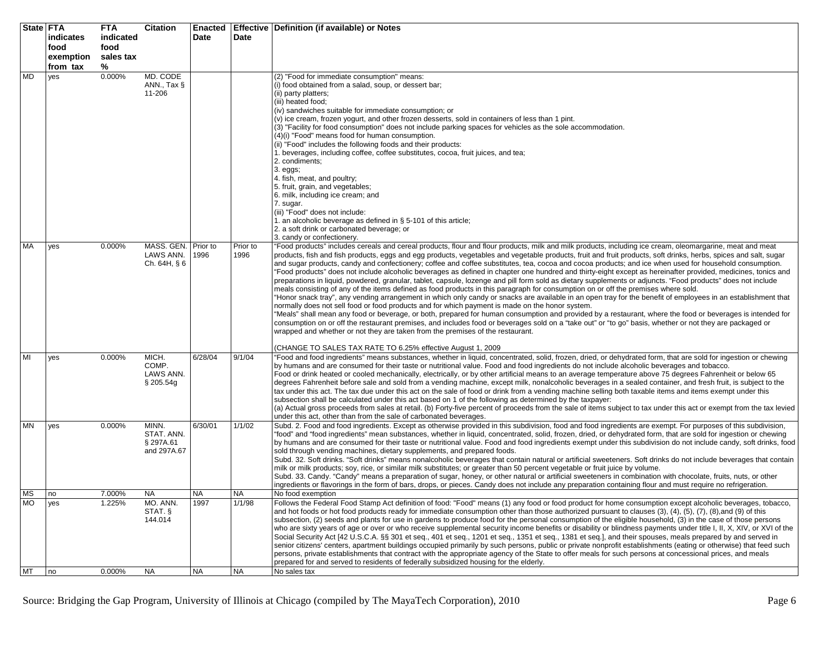| State   FTA |                       | <b>FTA</b>     | Citation                                         | <b>Enacted</b> |                  | <b>Effective Definition (if available) or Notes</b>                                                                                                                                                                                                                                                                                                                                                                                                                                                                                                                                                                                                                                                                                                                                                                                                                                                                                                                                                                                                                                                                                                                                                                                                                                                                                                                                                                                                                                                                                                                                                                                                                                                            |
|-------------|-----------------------|----------------|--------------------------------------------------|----------------|------------------|----------------------------------------------------------------------------------------------------------------------------------------------------------------------------------------------------------------------------------------------------------------------------------------------------------------------------------------------------------------------------------------------------------------------------------------------------------------------------------------------------------------------------------------------------------------------------------------------------------------------------------------------------------------------------------------------------------------------------------------------------------------------------------------------------------------------------------------------------------------------------------------------------------------------------------------------------------------------------------------------------------------------------------------------------------------------------------------------------------------------------------------------------------------------------------------------------------------------------------------------------------------------------------------------------------------------------------------------------------------------------------------------------------------------------------------------------------------------------------------------------------------------------------------------------------------------------------------------------------------------------------------------------------------------------------------------------------------|
|             | indicates             | indicated      |                                                  | Date           | Date             |                                                                                                                                                                                                                                                                                                                                                                                                                                                                                                                                                                                                                                                                                                                                                                                                                                                                                                                                                                                                                                                                                                                                                                                                                                                                                                                                                                                                                                                                                                                                                                                                                                                                                                                |
|             | food                  | food           |                                                  |                |                  |                                                                                                                                                                                                                                                                                                                                                                                                                                                                                                                                                                                                                                                                                                                                                                                                                                                                                                                                                                                                                                                                                                                                                                                                                                                                                                                                                                                                                                                                                                                                                                                                                                                                                                                |
|             | exemption<br>from tax | sales tax<br>℅ |                                                  |                |                  |                                                                                                                                                                                                                                                                                                                                                                                                                                                                                                                                                                                                                                                                                                                                                                                                                                                                                                                                                                                                                                                                                                                                                                                                                                                                                                                                                                                                                                                                                                                                                                                                                                                                                                                |
| <b>MD</b>   | yes                   | 0.000%         | MD. CODE<br>ANN., Tax §<br>11-206                |                |                  | (2) "Food for immediate consumption" means:<br>(i) food obtained from a salad, soup, or dessert bar;<br>(ii) party platters;<br>(iii) heated food;<br>(iv) sandwiches suitable for immediate consumption; or<br>(v) ice cream, frozen yogurt, and other frozen desserts, sold in containers of less than 1 pint.                                                                                                                                                                                                                                                                                                                                                                                                                                                                                                                                                                                                                                                                                                                                                                                                                                                                                                                                                                                                                                                                                                                                                                                                                                                                                                                                                                                               |
|             |                       |                |                                                  |                |                  | (3) "Facility for food consumption" does not include parking spaces for vehicles as the sole accommodation.<br>(4)(i) "Food" means food for human consumption.<br>(ii) "Food" includes the following foods and their products:<br>1. beverages, including coffee, coffee substitutes, cocoa, fruit juices, and tea;<br>2. condiments;<br>$3. eggs$<br>4. fish, meat, and poultry;<br>5. fruit, grain, and vegetables;<br>6. milk, including ice cream; and                                                                                                                                                                                                                                                                                                                                                                                                                                                                                                                                                                                                                                                                                                                                                                                                                                                                                                                                                                                                                                                                                                                                                                                                                                                     |
|             |                       |                |                                                  |                |                  | 7. sugar.<br>(iii) "Food" does not include:<br>1. an alcoholic beverage as defined in § 5-101 of this article;<br>2. a soft drink or carbonated beverage; or<br>3. candy or confectionery.                                                                                                                                                                                                                                                                                                                                                                                                                                                                                                                                                                                                                                                                                                                                                                                                                                                                                                                                                                                                                                                                                                                                                                                                                                                                                                                                                                                                                                                                                                                     |
| MA          | yes                   | 0.000%         | MASS. GEN. Prior to<br>LAWS ANN.<br>Ch. 64H, § 6 | 1996           | Prior to<br>1996 | "Food products" includes cereals and cereal products, flour and flour products, milk and milk products, including ice cream, oleomargarine, meat and meat<br>products, fish and fish products, eggs and egg products, vegetables and vegetable products, fruit and fruit products, soft drinks, herbs, spices and salt, sugar<br>and sugar products, candy and confectionery; coffee and coffee substitutes, tea, cocoa and cocoa products; and ice when used for household consumption.<br>"Food products" does not include alcoholic beverages as defined in chapter one hundred and thirty-eight except as hereinafter provided, medicines, tonics and<br>preparations in liquid, powdered, granular, tablet, capsule, lozenge and pill form sold as dietary supplements or adjuncts. "Food products" does not include<br>meals consisting of any of the items defined as food products in this paragraph for consumption on or off the premises where sold.<br>"Honor snack tray", any vending arrangement in which only candy or snacks are available in an open tray for the benefit of employees in an establishment that<br>normally does not sell food or food products and for which payment is made on the honor system.<br>"Meals" shall mean any food or beverage, or both, prepared for human consumption and provided by a restaurant, where the food or beverages is intended for<br>consumption on or off the restaurant premises, and includes food or beverages sold on a "take out" or "to go" basis, whether or not they are packaged or<br>wrapped and whether or not they are taken from the premises of the restaurant.<br>(CHANGE TO SALES TAX RATE TO 6.25% effective August 1, 2009 |
| MI          | yes                   | 0.000%         | MICH.<br>COMP.<br>LAWS ANN.<br>§ 205.54g         | 6/28/04        | 9/1/04           | "Food and food ingredients" means substances, whether in liquid, concentrated, solid, frozen, dried, or dehydrated form, that are sold for ingestion or chewing<br>by humans and are consumed for their taste or nutritional value. Food and food ingredients do not include alcoholic beverages and tobacco.<br>Food or drink heated or cooled mechanically, electrically, or by other artificial means to an average temperature above 75 degrees Fahrenheit or below 65<br>degrees Fahrenheit before sale and sold from a vending machine, except milk, nonalcoholic beverages in a sealed container, and fresh fruit, is subject to the<br>tax under this act. The tax due under this act on the sale of food or drink from a vending machine selling both taxable items and items exempt under this<br>subsection shall be calculated under this act based on 1 of the following as determined by the taxpayer:<br>(a) Actual gross proceeds from sales at retail. (b) Forty-five percent of proceeds from the sale of items subject to tax under this act or exempt from the tax levied<br>under this act, other than from the sale of carbonated beverages.                                                                                                                                                                                                                                                                                                                                                                                                                                                                                                                                             |
| <b>MN</b>   | yes                   | 0.000%         | MINN.<br>STAT. ANN.<br>§ 297A.61<br>and 297A.67  | 6/30/01        | 1/1/02           | Subd. 2. Food and food ingredients. Except as otherwise provided in this subdivision, food and food ingredients are exempt. For purposes of this subdivision,<br>"food" and "food ingredients" mean substances, whether in liquid, concentrated, solid, frozen, dried, or dehydrated form, that are sold for ingestion or chewing<br>by humans and are consumed for their taste or nutritional value. Food and food ingredients exempt under this subdivision do not include candy, soft drinks, food<br>sold through vending machines, dietary supplements, and prepared foods.<br>Subd. 32. Soft drinks. "Soft drinks" means nonalcoholic beverages that contain natural or artificial sweeteners. Soft drinks do not include beverages that contain<br>milk or milk products; soy, rice, or similar milk substitutes; or greater than 50 percent vegetable or fruit juice by volume.<br>Subd. 33. Candy. "Candy" means a preparation of sugar, honey, or other natural or artificial sweeteners in combination with chocolate, fruits, nuts, or other<br>ingredients or flavorings in the form of bars, drops, or pieces. Candy does not include any preparation containing flour and must require no refrigeration.                                                                                                                                                                                                                                                                                                                                                                                                                                                                                        |
| MS          | no                    | 7.000%         | <b>NA</b>                                        | <b>NA</b>      | <b>NA</b>        | No food exemption                                                                                                                                                                                                                                                                                                                                                                                                                                                                                                                                                                                                                                                                                                                                                                                                                                                                                                                                                                                                                                                                                                                                                                                                                                                                                                                                                                                                                                                                                                                                                                                                                                                                                              |
| <b>MO</b>   | yes                   | 1.225%         | MO. ANN.<br>STAT §<br>144.014                    | 1997           | 1/1/98           | Follows the Federal Food Stamp Act definition of food: "Food" means (1) any food or food product for home consumption except alcoholic beverages, tobacco,<br>and hot foods or hot food products ready for immediate consumption other than those authorized pursuant to clauses (3), (4), (5), (7), (8), and (9) of this<br>subsection, (2) seeds and plants for use in gardens to produce food for the personal consumption of the eligible household, (3) in the case of those persons<br>who are sixty years of age or over or who receive supplemental security income benefits or disability or blindness payments under title I, II, X, XIV, or XVI of the<br>Social Security Act [42 U.S.C.A. §§ 301 et seq., 401 et seq., 1201 et seq., 1351 et seq., 1381 et seq.], and their spouses, meals prepared by and served in<br>senior citizens' centers, apartment buildings occupied primarily by such persons, public or private nonprofit establishments (eating or otherwise) that feed such<br>persons, private establishments that contract with the appropriate agency of the State to offer meals for such persons at concessional prices, and meals<br>prepared for and served to residents of federally subsidized housing for the elderly.                                                                                                                                                                                                                                                                                                                                                                                                                                                     |
| <b>MT</b>   | no                    | 0.000%         | <b>NA</b>                                        | <b>NA</b>      | <b>NA</b>        | No sales tax                                                                                                                                                                                                                                                                                                                                                                                                                                                                                                                                                                                                                                                                                                                                                                                                                                                                                                                                                                                                                                                                                                                                                                                                                                                                                                                                                                                                                                                                                                                                                                                                                                                                                                   |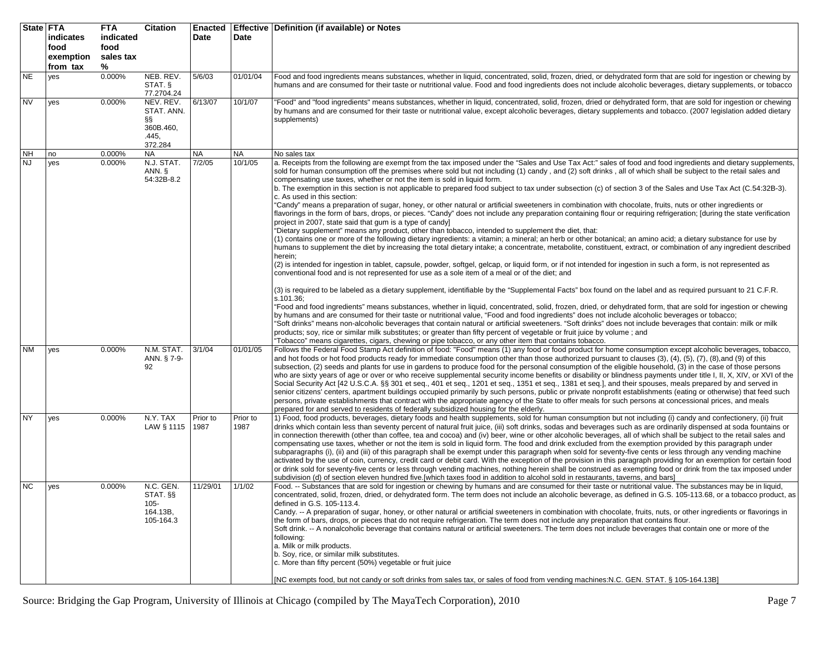| State FTA | indicates<br>food<br>exemption<br>from tax | <b>FTA</b><br>indicated<br>food<br>sales tax<br>% | <b>Citation</b>                                               | Date             | Date             | Enacted   Effective   Definition (if available) or Notes                                                                                                                                                                                                                                                                                                                                                                                                                                                                                                                                                                                                                                                                                                                                                                                                                                                                                                                                                                                                                                                                                                                                                                                                                                                                                                                                                                                                                                                                                                                                                                                                                                                                                                                                                                                                                                                                                                                                                                                                                                                                                                                                                                                                                                                                                                                                                                                                                                                                                                                                                                                                |
|-----------|--------------------------------------------|---------------------------------------------------|---------------------------------------------------------------|------------------|------------------|---------------------------------------------------------------------------------------------------------------------------------------------------------------------------------------------------------------------------------------------------------------------------------------------------------------------------------------------------------------------------------------------------------------------------------------------------------------------------------------------------------------------------------------------------------------------------------------------------------------------------------------------------------------------------------------------------------------------------------------------------------------------------------------------------------------------------------------------------------------------------------------------------------------------------------------------------------------------------------------------------------------------------------------------------------------------------------------------------------------------------------------------------------------------------------------------------------------------------------------------------------------------------------------------------------------------------------------------------------------------------------------------------------------------------------------------------------------------------------------------------------------------------------------------------------------------------------------------------------------------------------------------------------------------------------------------------------------------------------------------------------------------------------------------------------------------------------------------------------------------------------------------------------------------------------------------------------------------------------------------------------------------------------------------------------------------------------------------------------------------------------------------------------------------------------------------------------------------------------------------------------------------------------------------------------------------------------------------------------------------------------------------------------------------------------------------------------------------------------------------------------------------------------------------------------------------------------------------------------------------------------------------------------|
| <b>NE</b> | yes                                        | 0.000%                                            | NEB. REV.<br>STAT. §<br>77.2704.24                            | 5/6/03           | 01/01/04         | Food and food ingredients means substances, whether in liquid, concentrated, solid, frozen, dried, or dehydrated form that are sold for ingestion or chewing by<br>humans and are consumed for their taste or nutritional value. Food and food ingredients does not include alcoholic beverages, dietary supplements, or tobacco                                                                                                                                                                                                                                                                                                                                                                                                                                                                                                                                                                                                                                                                                                                                                                                                                                                                                                                                                                                                                                                                                                                                                                                                                                                                                                                                                                                                                                                                                                                                                                                                                                                                                                                                                                                                                                                                                                                                                                                                                                                                                                                                                                                                                                                                                                                        |
| <b>NV</b> | yes                                        | 0.000%                                            | NEV. REV.<br>STAT. ANN.<br>ާ<br>360B.460,<br>.445.<br>372.284 | 6/13/07          | 10/1/07          | 'Food" and "food ingredients" means substances, whether in liquid, concentrated, solid, frozen, dried or dehydrated form, that are sold for ingestion or chewing<br>by humans and are consumed for their taste or nutritional value, except alcoholic beverages, dietary supplements and tobacco. (2007 legislation added dietary<br>supplements)                                                                                                                                                                                                                                                                                                                                                                                                                                                                                                                                                                                                                                                                                                                                                                                                                                                                                                                                                                                                                                                                                                                                                                                                                                                                                                                                                                                                                                                                                                                                                                                                                                                                                                                                                                                                                                                                                                                                                                                                                                                                                                                                                                                                                                                                                                       |
| NΗ        | no                                         | 0.000%                                            | <b>NA</b>                                                     | <b>NA</b>        | <b>NA</b>        | No sales tax                                                                                                                                                                                                                                                                                                                                                                                                                                                                                                                                                                                                                                                                                                                                                                                                                                                                                                                                                                                                                                                                                                                                                                                                                                                                                                                                                                                                                                                                                                                                                                                                                                                                                                                                                                                                                                                                                                                                                                                                                                                                                                                                                                                                                                                                                                                                                                                                                                                                                                                                                                                                                                            |
| <b>NJ</b> | yes                                        | 0.000%                                            | N.J. STAT.<br>ANN. §<br>54:32B-8.2                            | 7/2/05           | 10/1/05          | a. Receipts from the following are exempt from the tax imposed under the "Sales and Use Tax Act:" sales of food and food ingredients and dietary supplements,<br>sold for human consumption off the premises where sold but not including (1) candy, and (2) soft drinks, all of which shall be subject to the retail sales and<br>compensating use taxes, whether or not the item is sold in liquid form.<br>b. The exemption in this section is not applicable to prepared food subject to tax under subsection (c) of section 3 of the Sales and Use Tax Act (C.54:32B-3).<br>c. As used in this section:<br>"Candy" means a preparation of sugar, honey, or other natural or artificial sweeteners in combination with chocolate, fruits, nuts or other ingredients or<br>flavorings in the form of bars, drops, or pieces. "Candy" does not include any preparation containing flour or requiring refrigeration; [during the state verification<br>project in 2007, state said that gum is a type of candy]<br>"Dietary supplement" means any product, other than tobacco, intended to supplement the diet, that:<br>(1) contains one or more of the following dietary ingredients: a vitamin; a mineral; an herb or other botanical; an amino acid; a dietary substance for use by<br>humans to supplement the diet by increasing the total dietary intake; a concentrate, metabolite, constituent, extract, or combination of any ingredient described<br>herein;<br>(2) is intended for ingestion in tablet, capsule, powder, softgel, gelcap, or liquid form, or if not intended for ingestion in such a form, is not represented as<br>conventional food and is not represented for use as a sole item of a meal or of the diet; and<br>(3) is required to be labeled as a dietary supplement, identifiable by the "Supplemental Facts" box found on the label and as required pursuant to 21 C.F.R.<br>s.101.36;<br>"Food and food ingredients" means substances, whether in liquid, concentrated, solid, frozen, dried, or dehydrated form, that are sold for ingestion or chewing<br>by humans and are consumed for their taste or nutritional value, "Food and food ingredients" does not include alcoholic beverages or tobacco;<br>'Soft drinks" means non-alcoholic beverages that contain natural or artificial sweeteners. "Soft drinks" does not include beverages that contain: milk or milk<br>products; soy, rice or similar milk substitutes; or greater than fifty percent of vegetable or fruit juice by volume; and<br>'Tobacco" means cigarettes, cigars, chewing or pipe tobacco, or any other item that contains tobacco. |
| <b>NM</b> | yes                                        | 0.000%                                            | N.M. STAT.<br>ANN. § 7-9-<br>92                               | 3/1/04           | 01/01/05         | Follows the Federal Food Stamp Act definition of food: "Food" means (1) any food or food product for home consumption except alcoholic beverages, tobacco,<br>and hot foods or hot food products ready for immediate consumption other than those authorized pursuant to clauses (3), (4), (5), (7), (8),and (9) of this<br>subsection, (2) seeds and plants for use in gardens to produce food for the personal consumption of the eligible household, (3) in the case of those persons<br>who are sixty years of age or over or who receive supplemental security income benefits or disability or blindness payments under title I, II, X, XIV, or XVI of the<br>Social Security Act [42 U.S.C.A. §§ 301 et seq., 401 et seq., 1201 et seq., 1351 et seq., 1381 et seq.], and their spouses, meals prepared by and served in<br>senior citizens' centers, apartment buildings occupied primarily by such persons, public or private nonprofit establishments (eating or otherwise) that feed such<br>persons, private establishments that contract with the appropriate agency of the State to offer meals for such persons at concessional prices, and meals<br>prepared for and served to residents of federally subsidized housing for the elderly.                                                                                                                                                                                                                                                                                                                                                                                                                                                                                                                                                                                                                                                                                                                                                                                                                                                                                                                                                                                                                                                                                                                                                                                                                                                                                                                                                                                               |
| <b>NY</b> | yes                                        | 0.000%                                            | N.Y. TAX<br>LAW § 1115                                        | Prior to<br>1987 | Prior to<br>1987 | 1) Food, food products, beverages, dietary foods and health supplements, sold for human consumption but not including (i) candy and confectionery, (ii) fruit<br>drinks which contain less than seventy percent of natural fruit juice, (iii) soft drinks, sodas and beverages such as are ordinarily dispensed at soda fountains or<br>in connection therewith (other than coffee, tea and cocoa) and (iv) beer, wine or other alcoholic beverages, all of which shall be subject to the retail sales and<br>compensating use taxes, whether or not the item is sold in liquid form. The food and drink excluded from the exemption provided by this paragraph under<br>subparagraphs (i), (ii) and (iii) of this paragraph shall be exempt under this paragraph when sold for seventy-five cents or less through any vending machine<br>activated by the use of coin, currency, credit card or debit card. With the exception of the provision in this paragraph providing for an exemption for certain food<br>or drink sold for seventy-five cents or less through vending machines, nothing herein shall be construed as exempting food or drink from the tax imposed under<br>subdivision (d) of section eleven hundred five.[which taxes food in addition to alcohol sold in restaurants, taverns, and bars]                                                                                                                                                                                                                                                                                                                                                                                                                                                                                                                                                                                                                                                                                                                                                                                                                                                                                                                                                                                                                                                                                                                                                                                                                                                                                                                                     |
| <b>NC</b> | yes                                        | 0.000%                                            | $N.C.$ GEN.<br>STAT. §§<br>105-<br>164.13B,<br>105-164.3      | 11/29/01         | 1/1/02           | Food. -- Substances that are sold for ingestion or chewing by humans and are consumed for their taste or nutritional value. The substances may be in liquid,<br>concentrated, solid, frozen, dried, or dehydrated form. The term does not include an alcoholic beverage, as defined in G.S. 105-113.68, or a tobacco product, as<br>defined in G.S. 105-113.4.<br>Candy. -- A preparation of sugar, honey, or other natural or artificial sweeteners in combination with chocolate, fruits, nuts, or other ingredients or flavorings in<br>the form of bars, drops, or pieces that do not require refrigeration. The term does not include any preparation that contains flour.<br>Soft drink. -- A nonalcoholic beverage that contains natural or artificial sweeteners. The term does not include beverages that contain one or more of the<br>following:<br>a. Milk or milk products.<br>b. Soy, rice, or similar milk substitutes.<br>c. More than fifty percent (50%) vegetable or fruit juice<br>[NC exempts food, but not candy or soft drinks from sales tax, or sales of food from vending machines: N.C. GEN. STAT. § 105-164.13B]                                                                                                                                                                                                                                                                                                                                                                                                                                                                                                                                                                                                                                                                                                                                                                                                                                                                                                                                                                                                                                                                                                                                                                                                                                                                                                                                                                                                                                                                                                            |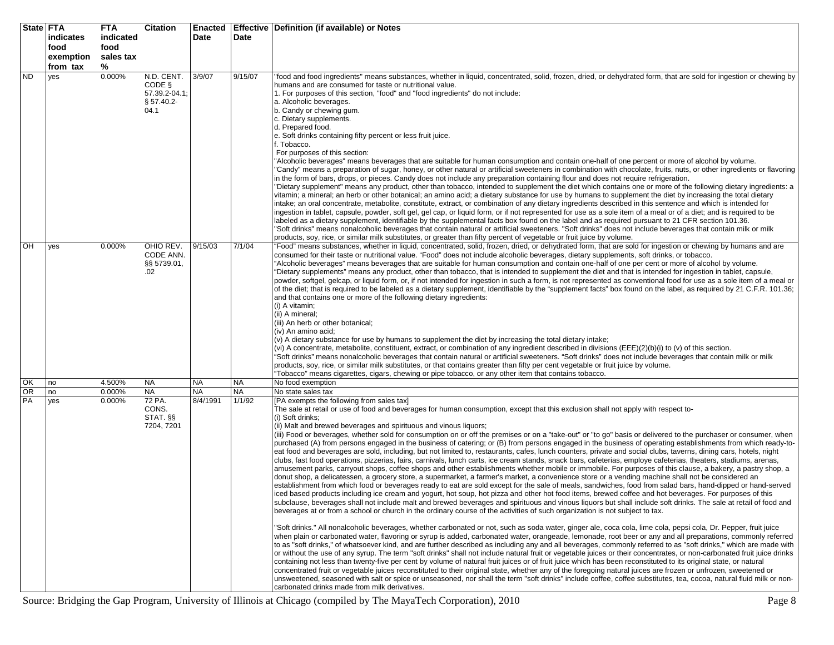|           | State FTA<br>indicates<br>food<br>exemption<br>from tax | <b>FTA</b><br>indicated<br>food<br>sales tax<br>% | <b>Citation</b>                                               | Date      | Date      | Enacted   Effective   Definition (if available) or Notes                                                                                                                                                                                                                                                                                                                                                                                                                                                                                                                                                                                                                                                                                                                                                                                                                                                                                                                                                                                                                                                                                                                                                                                                                                                                                                                                                                                                                                                                                                                                                                                                                                                                                                                                                                                                                                                                                                                                                                                                                                                                                                                                                                                                                                                                                                                                                                                                                                                                                                                                                                                                                                                                                                                                                                                                                                                                                                                                                                                                                                                                                                 |
|-----------|---------------------------------------------------------|---------------------------------------------------|---------------------------------------------------------------|-----------|-----------|----------------------------------------------------------------------------------------------------------------------------------------------------------------------------------------------------------------------------------------------------------------------------------------------------------------------------------------------------------------------------------------------------------------------------------------------------------------------------------------------------------------------------------------------------------------------------------------------------------------------------------------------------------------------------------------------------------------------------------------------------------------------------------------------------------------------------------------------------------------------------------------------------------------------------------------------------------------------------------------------------------------------------------------------------------------------------------------------------------------------------------------------------------------------------------------------------------------------------------------------------------------------------------------------------------------------------------------------------------------------------------------------------------------------------------------------------------------------------------------------------------------------------------------------------------------------------------------------------------------------------------------------------------------------------------------------------------------------------------------------------------------------------------------------------------------------------------------------------------------------------------------------------------------------------------------------------------------------------------------------------------------------------------------------------------------------------------------------------------------------------------------------------------------------------------------------------------------------------------------------------------------------------------------------------------------------------------------------------------------------------------------------------------------------------------------------------------------------------------------------------------------------------------------------------------------------------------------------------------------------------------------------------------------------------------------------------------------------------------------------------------------------------------------------------------------------------------------------------------------------------------------------------------------------------------------------------------------------------------------------------------------------------------------------------------------------------------------------------------------------------------------------------------|
| <b>ND</b> | yes                                                     | 0.000%                                            | N.D. CENT.<br>CODE §<br>57.39.2-04.1;<br>$§ 57.40.2-$<br>04.1 | 3/9/07    | 9/15/07   | 'food and food ingredients" means substances, whether in liquid, concentrated, solid, frozen, dried, or dehydrated form, that are sold for ingestion or chewing by<br>humans and are consumed for taste or nutritional value.<br>1. For purposes of this section, "food" and "food ingredients" do not include:<br>a. Alcoholic beverages.<br>b. Candy or chewing gum.<br>c. Dietary supplements.<br>d. Prepared food.<br>e. Soft drinks containing fifty percent or less fruit juice.<br>. Tobacco.<br>For purposes of this section:<br>'Alcoholic beverages" means beverages that are suitable for human consumption and contain one-half of one percent or more of alcohol by volume.<br>'Candy" means a preparation of sugar, honey, or other natural or artificial sweeteners in combination with chocolate, fruits, nuts, or other ingredients or flavoring<br>in the form of bars, drops, or pieces. Candy does not include any preparation containing flour and does not require refrigeration.<br>'Dietary supplement" means any product, other than tobacco, intended to supplement the diet which contains one or more of the following dietary ingredients: a<br>vitamin; a mineral; an herb or other botanical; an amino acid; a dietary substance for use by humans to supplement the diet by increasing the total dietary<br>intake; an oral concentrate, metabolite, constitute, extract, or combination of any dietary ingredients described in this sentence and which is intended for<br>ingestion in tablet, capsule, powder, soft gel, gel cap, or liquid form, or if not represented for use as a sole item of a meal or of a diet; and is required to be<br>labeled as a dietary supplement, identifiable by the supplemental facts box found on the label and as required pursuant to 21 CFR section 101.36.<br>'Soft drinks" means nonalcoholic beverages that contain natural or artificial sweeteners. "Soft drinks" does not include beverages that contain milk or milk<br>products, soy, rice, or similar milk substitutes, or greater than fifty percent of vegetable or fruit juice by volume.                                                                                                                                                                                                                                                                                                                                                                                                                                                                                                                                                                                                                                                                                                                                                                                                                                                                                                                                                                                                                           |
| OH        | yes                                                     | 0.000%                                            | OHIO REV.<br>CODE ANN.<br>§§ 5739.01,<br>.02                  | 9/15/03   | 7/1/04    | 'Food" means substances, whether in liquid, concentrated, solid, frozen, dried, or dehydrated form, that are sold for ingestion or chewing by humans and are<br>consumed for their taste or nutritional value. "Food" does not include alcoholic beverages, dietary supplements, soft drinks, or tobacco.<br>"Alcoholic beverages" means beverages that are suitable for human consumption and contain one-half of one per cent or more of alcohol by volume.<br>"Dietary supplements" means any product, other than tobacco, that is intended to supplement the diet and that is intended for ingestion in tablet, capsule,<br>powder, softgel, gelcap, or liquid form, or, if not intended for ingestion in such a form, is not represented as conventional food for use as a sole item of a meal or<br>of the diet; that is required to be labeled as a dietary supplement, identifiable by the "supplement facts" box found on the label, as required by 21 C.F.R. 101.36;<br>and that contains one or more of the following dietary ingredients:<br>(i) A vitamin;<br>(ii) A mineral;<br>(iii) An herb or other botanical;<br>(iv) An amino acid;<br>(v) A dietary substance for use by humans to supplement the diet by increasing the total dietary intake;<br>(vi) A concentrate, metabolite, constituent, extract, or combination of any ingredient described in divisions (EEE)(2)(b)(i) to (v) of this section.<br>'Soft drinks" means nonalcoholic beverages that contain natural or artificial sweeteners. "Soft drinks" does not include beverages that contain milk or milk<br>products, soy, rice, or similar milk substitutes, or that contains greater than fifty per cent vegetable or fruit juice by volume.<br>'Tobacco" means cigarettes, cigars, chewing or pipe tobacco, or any other item that contains tobacco.                                                                                                                                                                                                                                                                                                                                                                                                                                                                                                                                                                                                                                                                                                                                                                                                                                                                                                                                                                                                                                                                                                                                                                                                                                                                                                                |
| OK        | no                                                      | 4.500%                                            | <b>NA</b>                                                     | <b>NA</b> | <b>NA</b> | No food exemption                                                                                                                                                                                                                                                                                                                                                                                                                                                                                                                                                                                                                                                                                                                                                                                                                                                                                                                                                                                                                                                                                                                                                                                                                                                                                                                                                                                                                                                                                                                                                                                                                                                                                                                                                                                                                                                                                                                                                                                                                                                                                                                                                                                                                                                                                                                                                                                                                                                                                                                                                                                                                                                                                                                                                                                                                                                                                                                                                                                                                                                                                                                                        |
| <b>OR</b> | no                                                      | 0.000%                                            | <b>NA</b>                                                     | NA        | <b>NA</b> | No state sales tax                                                                                                                                                                                                                                                                                                                                                                                                                                                                                                                                                                                                                                                                                                                                                                                                                                                                                                                                                                                                                                                                                                                                                                                                                                                                                                                                                                                                                                                                                                                                                                                                                                                                                                                                                                                                                                                                                                                                                                                                                                                                                                                                                                                                                                                                                                                                                                                                                                                                                                                                                                                                                                                                                                                                                                                                                                                                                                                                                                                                                                                                                                                                       |
| PA        | yes                                                     | 0.000%                                            | 72 PA.<br>CONS.<br>STAT. SS<br>7204, 7201                     | 8/4/1991  | 1/1/92    | [PA exempts the following from sales tax]<br>The sale at retail or use of food and beverages for human consumption, except that this exclusion shall not apply with respect to-<br>(i) Soft drinks;<br>(ii) Malt and brewed beverages and spirituous and vinous liquors;<br>(iii) Food or beverages, whether sold for consumption on or off the premises or on a "take-out" or "to go" basis or delivered to the purchaser or consumer, when<br>purchased (A) from persons engaged in the business of catering; or (B) from persons engaged in the business of operating establishments from which ready-to-<br>eat food and beverages are sold, including, but not limited to, restaurants, cafes, lunch counters, private and social clubs, taverns, dining cars, hotels, night<br>clubs, fast food operations, pizzerias, fairs, carnivals, lunch carts, ice cream stands, snack bars, cafeterias, employe cafeterias, theaters, stadiums, arenas,<br>amusement parks, carryout shops, coffee shops and other establishments whether mobile or immobile. For purposes of this clause, a bakery, a pastry shop, a<br>donut shop, a delicatessen, a grocery store, a supermarket, a farmer's market, a convenience store or a vending machine shall not be considered an<br>establishment from which food or beverages ready to eat are sold except for the sale of meals, sandwiches, food from salad bars, hand-dipped or hand-served<br>iced based products including ice cream and yogurt, hot soup, hot pizza and other hot food items, brewed coffee and hot beverages. For purposes of this<br>subclause, beverages shall not include malt and brewed beverages and spirituous and vinous liquors but shall include soft drinks. The sale at retail of food and<br>beverages at or from a school or church in the ordinary course of the activities of such organization is not subject to tax.<br>'Soft drinks." All nonalcoholic beverages, whether carbonated or not, such as soda water, ginger ale, coca cola, lime cola, pepsi cola, Dr. Pepper, fruit juice<br>when plain or carbonated water, flavoring or syrup is added, carbonated water, orangeade, lemonade, root beer or any and all preparations, commonly referred<br>to as "soft drinks," of whatsoever kind, and are further described as including any and all beverages, commonly referred to as "soft drinks," which are made with<br>or without the use of any syrup. The term "soft drinks" shall not include natural fruit or vegetable juices or their concentrates, or non-carbonated fruit juice drinks<br>containing not less than twenty-five per cent by volume of natural fruit juices or of fruit juice which has been reconstituted to its original state, or natural<br>concentrated fruit or vegetable juices reconstituted to their original state, whether any of the foregoing natural juices are frozen or unfrozen, sweetened or<br>unsweetened, seasoned with salt or spice or unseasoned, nor shall the term "soft drinks" include coffee, coffee substitutes, tea, cocoa, natural fluid milk or non-<br>carbonated drinks made from milk derivatives. |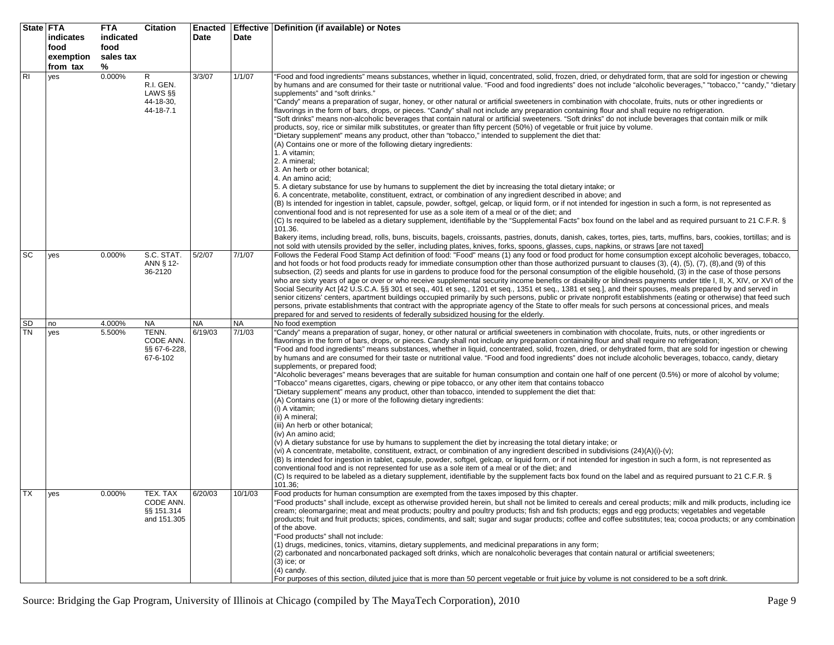|                 | State FTA<br>indicates<br>food<br>exemption<br>from tax | <b>FTA</b><br>indicated<br>food<br>sales tax<br>% | <b>Citation</b>                                      | <b>Enacted</b><br>Date | Date                | Effective   Definition (if available) or Notes                                                                                                                                                                                                                                                                                                                                                                                                                                                                                                                                                                                                                                                                                                                                                                                                                                                                                                                                                                                                                                                                                                                                                                                                                                                                                                                                                                                                                                                                                                                                                                                                                                                                                                                                                                                                                                                                                                                                                                                                                                                                                                                                                                                                                       |
|-----------------|---------------------------------------------------------|---------------------------------------------------|------------------------------------------------------|------------------------|---------------------|----------------------------------------------------------------------------------------------------------------------------------------------------------------------------------------------------------------------------------------------------------------------------------------------------------------------------------------------------------------------------------------------------------------------------------------------------------------------------------------------------------------------------------------------------------------------------------------------------------------------------------------------------------------------------------------------------------------------------------------------------------------------------------------------------------------------------------------------------------------------------------------------------------------------------------------------------------------------------------------------------------------------------------------------------------------------------------------------------------------------------------------------------------------------------------------------------------------------------------------------------------------------------------------------------------------------------------------------------------------------------------------------------------------------------------------------------------------------------------------------------------------------------------------------------------------------------------------------------------------------------------------------------------------------------------------------------------------------------------------------------------------------------------------------------------------------------------------------------------------------------------------------------------------------------------------------------------------------------------------------------------------------------------------------------------------------------------------------------------------------------------------------------------------------------------------------------------------------------------------------------------------------|
| R <sub>l</sub>  | yes                                                     | 0.000%                                            | R<br>R.I. GEN.<br>LAWS §§<br>44-18-30,<br>44-18-7.1  | 3/3/07                 | 1/1/07              | "Food and food ingredients" means substances, whether in liquid, concentrated, solid, frozen, dried, or dehydrated form, that are sold for ingestion or chewing<br>by humans and are consumed for their taste or nutritional value. "Food and food ingredients" does not include "alcoholic beverages," "tobacco," "candy," "dietary<br>supplements" and "soft drinks."<br>"Candy" means a preparation of sugar, honey, or other natural or artificial sweeteners in combination with chocolate, fruits, nuts or other ingredients or<br>flavorings in the form of bars, drops, or pieces. "Candy" shall not include any preparation containing flour and shall require no refrigeration.<br>"Soft drinks" means non-alcoholic beverages that contain natural or artificial sweeteners. "Soft drinks" do not include beverages that contain milk or milk<br>products, soy, rice or similar milk substitutes, or greater than fifty percent (50%) of vegetable or fruit juice by volume.<br>"Dietary supplement" means any product, other than "tobacco," intended to supplement the diet that:<br>(A) Contains one or more of the following dietary ingredients:<br>1. A vitamin;<br>2. A mineral;<br>3. An herb or other botanical;<br>4. An amino acid;<br>5. A dietary substance for use by humans to supplement the diet by increasing the total dietary intake; or<br>6. A concentrate, metabolite, constituent, extract, or combination of any ingredient described in above; and<br>(B) Is intended for ingestion in tablet, capsule, powder, softgel, gelcap, or liquid form, or if not intended for ingestion in such a form, is not represented as<br>conventional food and is not represented for use as a sole item of a meal or of the diet; and<br>(C) Is required to be labeled as a dietary supplement, identifiable by the "Supplemental Facts" box found on the label and as required pursuant to 21 C.F.R. §<br>101.36.<br>Bakery items, including bread, rolls, buns, biscuits, bagels, croissants, pastries, donuts, danish, cakes, tortes, pies, tarts, muffins, bars, cookies, tortillas; and is<br>not sold with utensils provided by the seller, including plates, knives, forks, spoons, glasses, cups, napkins, or straws [are not taxed] |
| SC              | yes                                                     | 0.000%                                            | S.C. STAT.<br>ANN § 12-<br>36-2120                   | 5/2/07                 | 7/1/07              | Follows the Federal Food Stamp Act definition of food: "Food" means (1) any food or food product for home consumption except alcoholic beverages, tobacco,<br>and hot foods or hot food products ready for immediate consumption other than those authorized pursuant to clauses $(3)$ , $(4)$ , $(5)$ , $(7)$ , $(8)$ , and $(9)$ of this<br>subsection, (2) seeds and plants for use in gardens to produce food for the personal consumption of the eligible household, (3) in the case of those persons<br>who are sixty years of age or over or who receive supplemental security income benefits or disability or blindness payments under title I, II, X, XIV, or XVI of the<br>Social Security Act [42 U.S.C.A. §§ 301 et seq., 401 et seq., 1201 et seq., 1351 et seq., 1381 et seq.], and their spouses, meals prepared by and served in<br>senior citizens' centers, apartment buildings occupied primarily by such persons, public or private nonprofit establishments (eating or otherwise) that feed such<br>persons, private establishments that contract with the appropriate agency of the State to offer meals for such persons at concessional prices, and meals<br>prepared for and served to residents of federally subsidized housing for the elderly.                                                                                                                                                                                                                                                                                                                                                                                                                                                                                                                                                                                                                                                                                                                                                                                                                                                                                                                                                                                          |
| SD<br><b>TN</b> | no<br>yes                                               | 4.000%<br>5.500%                                  | NA<br>TENN.<br>CODE ANN.<br>§§ 67-6-228,<br>67-6-102 | <b>NA</b><br>6/19/03   | <b>NA</b><br>7/1/03 | No food exemption<br>"Candy" means a preparation of sugar, honey, or other natural or artificial sweeteners in combination with chocolate, fruits, nuts, or other ingredients or<br>flavorings in the form of bars, drops, or pieces. Candy shall not include any preparation containing flour and shall require no refrigeration;<br>"Food and food ingredients" means substances, whether in liquid, concentrated, solid, frozen, dried, or dehydrated form, that are sold for ingestion or chewing<br>by humans and are consumed for their taste or nutritional value. "Food and food ingredients" does not include alcoholic beverages, tobacco, candy, dietary<br>supplements, or prepared food;<br>"Alcoholic beverages" means beverages that are suitable for human consumption and contain one half of one percent (0.5%) or more of alcohol by volume;<br>"Tobacco" means cigarettes, cigars, chewing or pipe tobacco, or any other item that contains tobacco<br>"Dietary supplement" means any product, other than tobacco, intended to supplement the diet that:<br>(A) Contains one (1) or more of the following dietary ingredients:<br>(i) A vitamin;<br>(ii) A mineral;<br>(iii) An herb or other botanical;<br>(iv) An amino acid:<br>(v) A dietary substance for use by humans to supplement the diet by increasing the total dietary intake; or<br>(vi) A concentrate, metabolite, constituent, extract, or combination of any ingredient described in subdivisions (24)(A)(i)-(v);<br>(B) Is intended for ingestion in tablet, capsule, powder, softgel, gelcap, or liguid form, or if not intended for ingestion in such a form, is not represented as<br>conventional food and is not represented for use as a sole item of a meal or of the diet; and<br>(C) Is required to be labeled as a dietary supplement, identifiable by the supplement facts box found on the label and as required pursuant to 21 C.F.R. §<br>101.36;                                                                                                                                                                                                                                                                                                                |
| <b>TX</b>       | yes                                                     | 0.000%                                            | TEX. TAX<br>CODE ANN.<br>§§ 151.314<br>and 151.305   | 6/20/03                | 10/1/03             | Food products for human consumption are exempted from the taxes imposed by this chapter.<br>"Food products" shall include, except as otherwise provided herein, but shall not be limited to cereals and cereal products; milk and milk products, including ice<br>cream; oleomargarine; meat and meat products; poultry and poultry products; fish and fish products; eggs and egg products; vegetables and vegetable<br>products; fruit and fruit products; spices, condiments, and salt; sugar and sugar products; coffee and coffee substitutes; tea; cocoa products; or any combination<br>of the above.<br>"Food products" shall not include:<br>(1) drugs, medicines, tonics, vitamins, dietary supplements, and medicinal preparations in any form;<br>(2) carbonated and noncarbonated packaged soft drinks, which are nonalcoholic beverages that contain natural or artificial sweeteners;<br>$(3)$ ice; or<br>$(4)$ candy.<br>For purposes of this section, diluted juice that is more than 50 percent vegetable or fruit juice by volume is not considered to be a soft drink.                                                                                                                                                                                                                                                                                                                                                                                                                                                                                                                                                                                                                                                                                                                                                                                                                                                                                                                                                                                                                                                                                                                                                                           |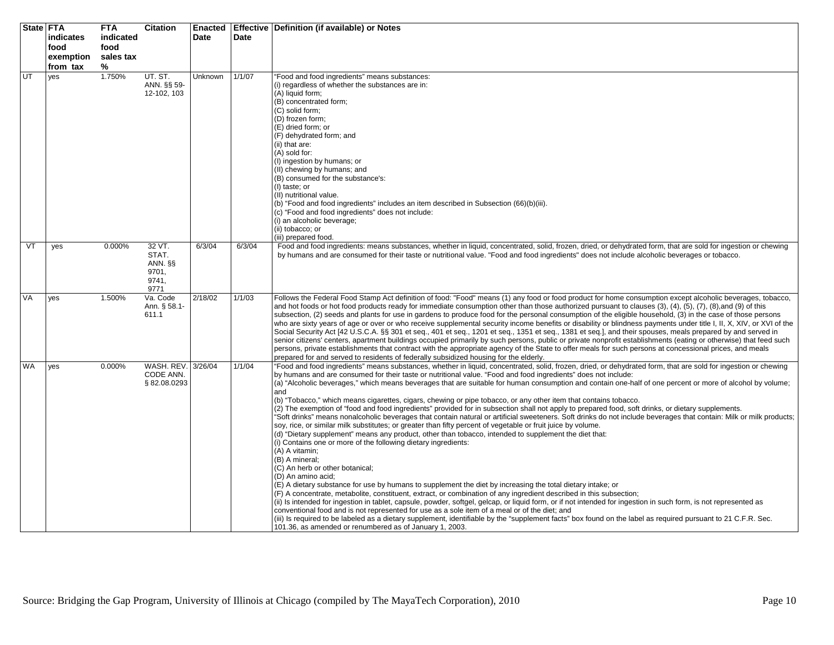|           | State FTA | <b>FTA</b> | <b>Citation</b>          | <b>Enacted</b> |        | Effective   Definition (if available) or Notes                                                                                                                                                                                                                                                                            |
|-----------|-----------|------------|--------------------------|----------------|--------|---------------------------------------------------------------------------------------------------------------------------------------------------------------------------------------------------------------------------------------------------------------------------------------------------------------------------|
|           | indicates | indicated  |                          | <b>Date</b>    | Date   |                                                                                                                                                                                                                                                                                                                           |
|           | food      | food       |                          |                |        |                                                                                                                                                                                                                                                                                                                           |
|           | exemption | sales tax  |                          |                |        |                                                                                                                                                                                                                                                                                                                           |
|           | from tax  | %          |                          |                |        |                                                                                                                                                                                                                                                                                                                           |
| UT        | yes       | 1.750%     | UT. ST.                  | Unknown        | 1/1/07 | "Food and food ingredients" means substances:                                                                                                                                                                                                                                                                             |
|           |           |            | ANN. §§ 59-              |                |        | (i) regardless of whether the substances are in:                                                                                                                                                                                                                                                                          |
|           |           |            | 12-102, 103              |                |        | (A) liquid form;                                                                                                                                                                                                                                                                                                          |
|           |           |            |                          |                |        | (B) concentrated form;                                                                                                                                                                                                                                                                                                    |
|           |           |            |                          |                |        | (C) solid form;                                                                                                                                                                                                                                                                                                           |
|           |           |            |                          |                |        | (D) frozen form;                                                                                                                                                                                                                                                                                                          |
|           |           |            |                          |                |        | (E) dried form; or                                                                                                                                                                                                                                                                                                        |
|           |           |            |                          |                |        | (F) dehydrated form; and                                                                                                                                                                                                                                                                                                  |
|           |           |            |                          |                |        | (ii) that are:<br>(A) sold for:                                                                                                                                                                                                                                                                                           |
|           |           |            |                          |                |        | (I) ingestion by humans; or                                                                                                                                                                                                                                                                                               |
|           |           |            |                          |                |        | (II) chewing by humans; and                                                                                                                                                                                                                                                                                               |
|           |           |            |                          |                |        | (B) consumed for the substance's:                                                                                                                                                                                                                                                                                         |
|           |           |            |                          |                |        | (I) taste; or                                                                                                                                                                                                                                                                                                             |
|           |           |            |                          |                |        | (II) nutritional value.                                                                                                                                                                                                                                                                                                   |
|           |           |            |                          |                |        | (b) "Food and food ingredients" includes an item described in Subsection (66)(b)(iii).                                                                                                                                                                                                                                    |
|           |           |            |                          |                |        | (c) "Food and food ingredients" does not include:                                                                                                                                                                                                                                                                         |
|           |           |            |                          |                |        | (i) an alcoholic beverage;<br>(ii) tobacco; or                                                                                                                                                                                                                                                                            |
|           |           |            |                          |                |        | (iii) prepared food.                                                                                                                                                                                                                                                                                                      |
| VT        | yes       | 0.000%     | 32 VT.                   | 6/3/04         | 6/3/04 | Food and food ingredients: means substances, whether in liquid, concentrated, solid, frozen, dried, or dehydrated form, that are sold for ingestion or chewing                                                                                                                                                            |
|           |           |            | STAT.                    |                |        | by humans and are consumed for their taste or nutritional value. "Food and food ingredients" does not include alcoholic beverages or tobacco.                                                                                                                                                                             |
|           |           |            | ANN. §§                  |                |        |                                                                                                                                                                                                                                                                                                                           |
|           |           |            | 9701,                    |                |        |                                                                                                                                                                                                                                                                                                                           |
|           |           |            | 9741,                    |                |        |                                                                                                                                                                                                                                                                                                                           |
|           |           |            | 9771                     |                |        |                                                                                                                                                                                                                                                                                                                           |
| VA        | yes       | 1.500%     | Va. Code<br>Ann. § 58.1- | 2/18/02        | 1/1/03 | Follows the Federal Food Stamp Act definition of food: "Food" means (1) any food or food product for home consumption except alcoholic beverages, tobacco,<br>and hot foods or hot food products ready for immediate consumption other than those authorized pursuant to clauses (3), (4), (5), (7), (8), and (9) of this |
|           |           |            | 611.1                    |                |        | subsection, (2) seeds and plants for use in gardens to produce food for the personal consumption of the eligible household, (3) in the case of those persons                                                                                                                                                              |
|           |           |            |                          |                |        | who are sixty years of age or over or who receive supplemental security income benefits or disability or blindness payments under title I, II, X, XIV, or XVI of the                                                                                                                                                      |
|           |           |            |                          |                |        | Social Security Act [42 U.S.C.A. §§ 301 et seq., 401 et seq., 1201 et seq., 1351 et seq., 1381 et seq.], and their spouses, meals prepared by and served in                                                                                                                                                               |
|           |           |            |                          |                |        | senior citizens' centers, apartment buildings occupied primarily by such persons, public or private nonprofit establishments (eating or otherwise) that feed such                                                                                                                                                         |
|           |           |            |                          |                |        | persons, private establishments that contract with the appropriate agency of the State to offer meals for such persons at concessional prices, and meals                                                                                                                                                                  |
|           |           |            |                          |                |        | prepared for and served to residents of federally subsidized housing for the elderly.                                                                                                                                                                                                                                     |
| <b>WA</b> | yes       | 0.000%     | WASH. REV. 3/26/04       |                | 1/1/04 | "Food and food ingredients" means substances, whether in liquid, concentrated, solid, frozen, dried, or dehydrated form, that are sold for ingestion or chewing                                                                                                                                                           |
|           |           |            | CODE ANN.                |                |        | by humans and are consumed for their taste or nutritional value. "Food and food ingredients" does not include:                                                                                                                                                                                                            |
|           |           |            | §82.08.0293              |                |        | (a) "Alcoholic beverages," which means beverages that are suitable for human consumption and contain one-half of one percent or more of alcohol by volume;<br>and                                                                                                                                                         |
|           |           |            |                          |                |        | (b) "Tobacco," which means cigarettes, cigars, chewing or pipe tobacco, or any other item that contains tobacco.                                                                                                                                                                                                          |
|           |           |            |                          |                |        | (2) The exemption of "food and food ingredients" provided for in subsection shall not apply to prepared food, soft drinks, or dietary supplements.                                                                                                                                                                        |
|           |           |            |                          |                |        | "Soft drinks" means nonalcoholic beverages that contain natural or artificial sweeteners. Soft drinks do not include beverages that contain: Milk or milk products;                                                                                                                                                       |
|           |           |            |                          |                |        | soy, rice, or similar milk substitutes; or greater than fifty percent of vegetable or fruit juice by volume.                                                                                                                                                                                                              |
|           |           |            |                          |                |        | (d) "Dietary supplement" means any product, other than tobacco, intended to supplement the diet that:                                                                                                                                                                                                                     |
|           |           |            |                          |                |        | (i) Contains one or more of the following dietary ingredients:                                                                                                                                                                                                                                                            |
|           |           |            |                          |                |        | (A) A vitamin;                                                                                                                                                                                                                                                                                                            |
|           |           |            |                          |                |        | (B) A mineral;                                                                                                                                                                                                                                                                                                            |
|           |           |            |                          |                |        | (C) An herb or other botanical;<br>(D) An amino acid;                                                                                                                                                                                                                                                                     |
|           |           |            |                          |                |        | (E) A dietary substance for use by humans to supplement the diet by increasing the total dietary intake; or                                                                                                                                                                                                               |
|           |           |            |                          |                |        | (F) A concentrate, metabolite, constituent, extract, or combination of any ingredient described in this subsection;                                                                                                                                                                                                       |
|           |           |            |                          |                |        | (ii) Is intended for ingestion in tablet, capsule, powder, softgel, gelcap, or liquid form, or if not intended for ingestion in such form, is not represented as                                                                                                                                                          |
|           |           |            |                          |                |        | conventional food and is not represented for use as a sole item of a meal or of the diet; and                                                                                                                                                                                                                             |
|           |           |            |                          |                |        | (iii) Is required to be labeled as a dietary supplement, identifiable by the "supplement facts" box found on the label as required pursuant to 21 C.F.R. Sec.                                                                                                                                                             |
|           |           |            |                          |                |        | 101.36, as amended or renumbered as of January 1, 2003.                                                                                                                                                                                                                                                                   |